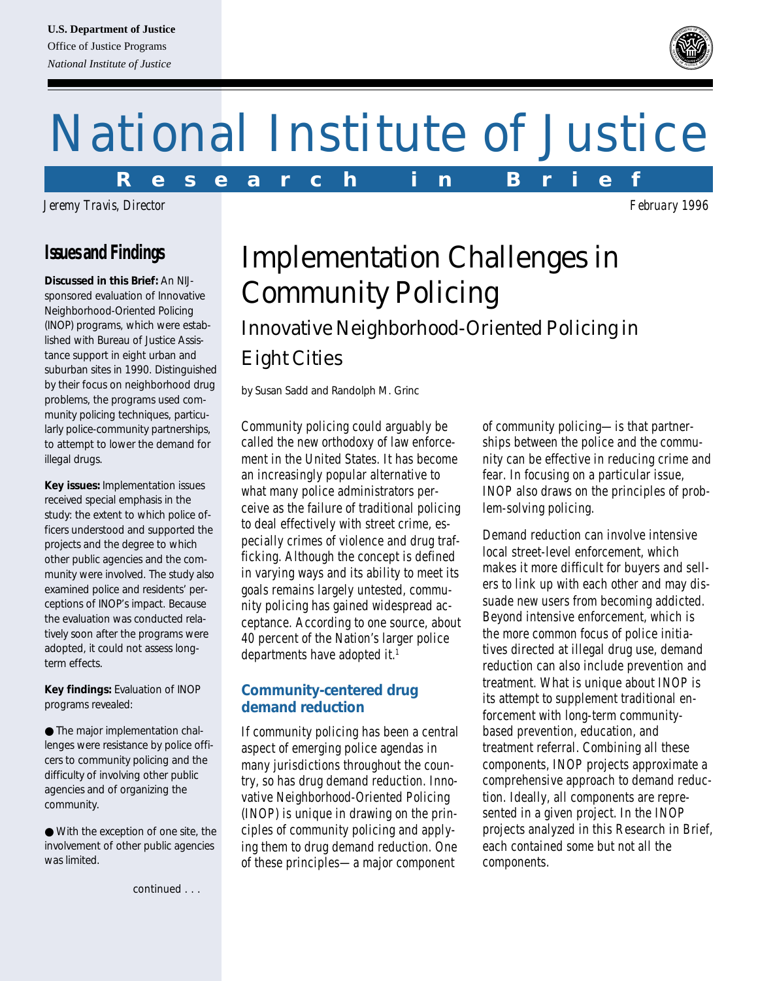# National Institute of Justice

*Jeremy Travis, Director February 1996*

# **Issues and Findings**

*Discussed in this Brief:* An NIJsponsored evaluation of Innovative Neighborhood-Oriented Policing (INOP) programs, which were established with Bureau of Justice Assistance support in eight urban and suburban sites in 1990. Distinguished by their focus on neighborhood drug problems, the programs used community policing techniques, particularly police-community partnerships, to attempt to lower the demand for illegal drugs.

*Key issues:* Implementation issues received special emphasis in the study: the extent to which police officers understood and supported the projects and the degree to which other public agencies and the community were involved. The study also examined police and residents' perceptions of INOP's impact. Because the evaluation was conducted relatively soon after the programs were adopted, it could not assess longterm effects.

*Key findings:* Evaluation of INOP programs revealed:

● The major implementation challenges were resistance by police officers to community policing and the difficulty of involving other public agencies and of organizing the community.

● With the exception of one site, the involvement of other public agencies was limited.

*continued . . .*

# Implementation Challenges in Community Policing Innovative Neighborhood-Oriented Policing in Eight Cities

*by Susan Sadd and Randolph M. Grinc*

Community policing could arguably be called the new orthodoxy of law enforcement in the United States. It has become an increasingly popular alternative to what many police administrators perceive as the failure of traditional policing to deal effectively with street crime, especially crimes of violence and drug trafficking. Although the concept is defined in varying ways and its ability to meet its goals remains largely untested, community policing has gained widespread acceptance. According to one source, about 40 percent of the Nation's larger police departments have adopted it.<sup>1</sup>

# **Community-centered drug demand reduction**

If community policing has been a central aspect of emerging police agendas in many jurisdictions throughout the country, so has drug demand reduction. Innovative Neighborhood-Oriented Policing (INOP) is unique in drawing on the principles of community policing and applying them to drug demand reduction. One of these principles—a major component

of community policing—is that partnerships between the police and the community can be effective in reducing crime and fear. In focusing on a particular issue, INOP also draws on the principles of problem-solving policing.

Demand reduction can involve intensive local street-level enforcement, which makes it more difficult for buyers and sellers to link up with each other and may dissuade new users from becoming addicted. Beyond intensive enforcement, which is the more common focus of police initiatives directed at illegal drug use, demand reduction can also include prevention and treatment. What is unique about INOP is its attempt to supplement traditional enforcement with long-term communitybased prevention, education, and treatment referral. Combining all these components, INOP projects approximate a comprehensive approach to demand reduction. Ideally, all components are represented in a given project. In the INOP projects analyzed in this Research in Brief, each contained some but not all the components.



**R e s e a r c h i n B r i e f**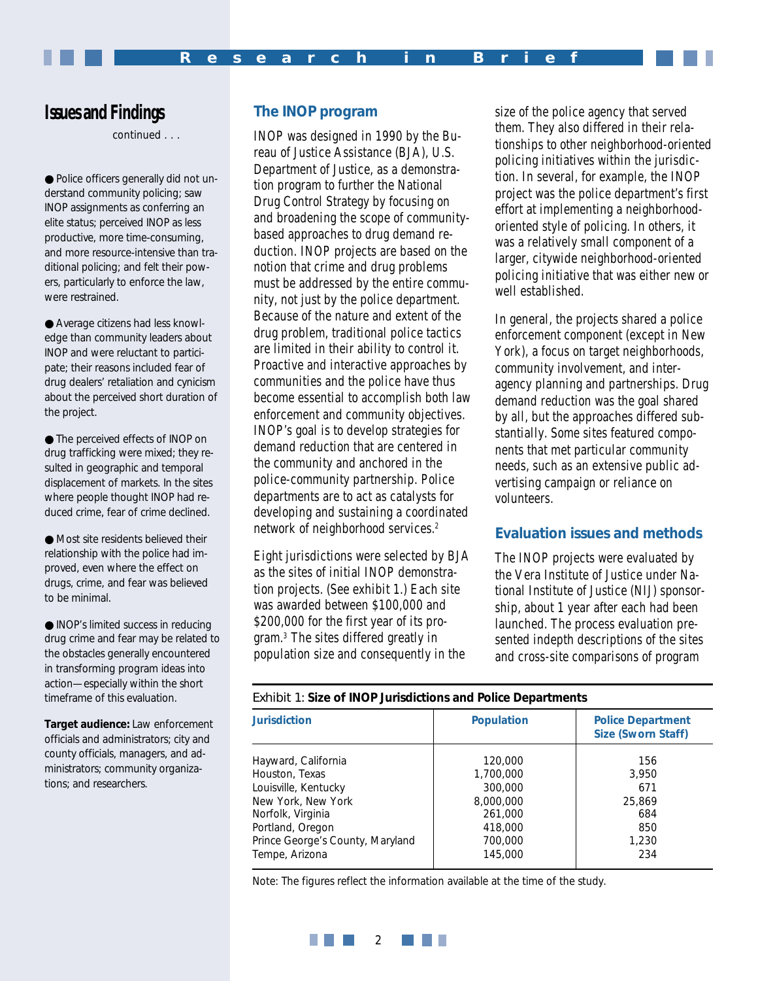# **Issues and Findings**

*continued . . .*

● Police officers generally did not understand community policing; saw INOP assignments as conferring an elite status; perceived INOP as less productive, more time-consuming, and more resource-intensive than traditional policing; and felt their powers, particularly to enforce the law, were restrained.

● Average citizens had less knowledge than community leaders about INOP and were reluctant to participate; their reasons included fear of drug dealers' retaliation and cynicism about the perceived short duration of the project.

● The perceived effects of INOP on drug trafficking were mixed; they resulted in geographic and temporal displacement of markets. In the sites where people thought INOP had reduced crime, fear of crime declined.

● Most site residents believed their relationship with the police had improved, even where the effect on drugs, crime, and fear was believed to be minimal.

● INOP's limited success in reducing drug crime and fear may be related to the obstacles generally encountered in transforming program ideas into action—especially within the short timeframe of this evaluation.

*Target audience:* Law enforcement officials and administrators; city and county officials, managers, and administrators; community organizations; and researchers.

# **The INOP program**

INOP was designed in 1990 by the Bureau of Justice Assistance (BJA), U.S. Department of Justice, as a demonstration program to further the National Drug Control Strategy by focusing on and broadening the scope of communitybased approaches to drug demand reduction. INOP projects are based on the notion that crime and drug problems must be addressed by the entire community, not just by the police department. Because of the nature and extent of the drug problem, traditional police tactics are limited in their ability to control it. Proactive and interactive approaches by communities and the police have thus become essential to accomplish both law enforcement and community objectives. INOP's goal is to develop strategies for demand reduction that are centered in the community and anchored in the police-community partnership. Police departments are to act as catalysts for developing and sustaining a coordinated network of neighborhood services.2

Eight jurisdictions were selected by BJA as the sites of initial INOP demonstration projects. (See exhibit 1.) Each site was awarded between \$100,000 and \$200,000 for the first year of its program.3 The sites differed greatly in population size and consequently in the

size of the police agency that served them. They also differed in their relationships to other neighborhood-oriented policing initiatives within the jurisdiction. In several, for example, the INOP project was the police department's first effort at implementing a neighborhoodoriented style of policing. In others, it was a relatively small component of a larger, citywide neighborhood-oriented policing initiative that was either new or well established.

In general, the projects shared a police enforcement component (except in New York), a focus on target neighborhoods, community involvement, and interagency planning and partnerships. Drug demand reduction was the goal shared by all, but the approaches differed substantially. Some sites featured components that met particular community needs, such as an extensive public advertising campaign or reliance on volunteers.

# **Evaluation issues and methods**

The INOP projects were evaluated by the Vera Institute of Justice under National Institute of Justice (NIJ) sponsorship, about 1 year after each had been launched. The process evaluation presented indepth descriptions of the sites and cross-site comparisons of program

*Exhibit 1: Size of INOP Jurisdictions and Police Departments*

| <b>Jurisdiction</b>              | <b>Population</b> | <b>Police Department</b><br>Size (Sworn Staff) |
|----------------------------------|-------------------|------------------------------------------------|
| Hayward, California              | 120,000           | 156                                            |
| Houston, Texas                   | 1,700,000         | 3,950                                          |
| Louisville, Kentucky             | 300,000           | 671                                            |
| New York, New York               | 8,000,000         | 25,869                                         |
| Norfolk, Virginia                | 261,000           | 684                                            |
| Portland, Oregon                 | 418,000           | 850                                            |
| Prince George's County, Maryland | 700,000           | 1,230                                          |
| Tempe, Arizona                   | 145,000           | 234                                            |

Note: The figures reflect the information available at the time of the study.

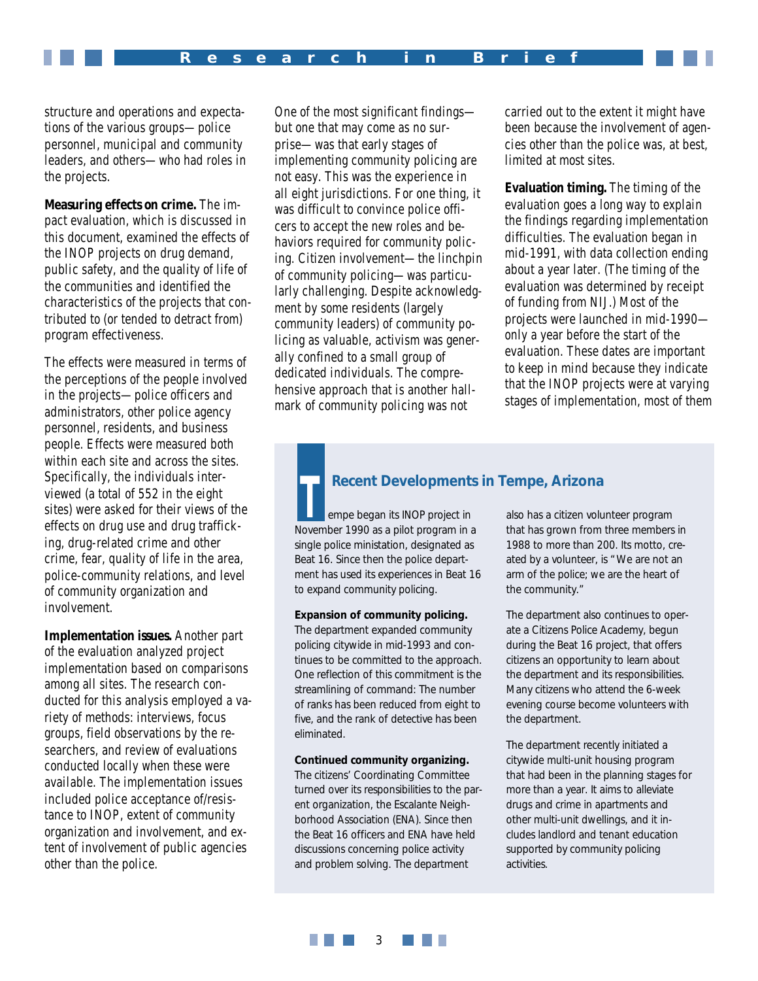structure and operations and expectations of the various groups—police personnel, municipal and community leaders, and others—who had roles in the projects.

**Measuring effects on crime.** The impact evaluation, which is discussed in this document, examined the effects of the INOP projects on drug demand, public safety, and the quality of life of the communities and identified the characteristics of the projects that contributed to (or tended to detract from) program effectiveness.

The effects were measured in terms of the perceptions of the people involved in the projects—police officers and administrators, other police agency personnel, residents, and business people. Effects were measured both within each site and across the sites. Specifically, the individuals interviewed (a total of 552 in the eight sites) were asked for their views of the effects on drug use and drug trafficking, drug-related crime and other crime, fear, quality of life in the area, police-community relations, and level of community organization and involvement.

**Implementation issues.** Another part of the evaluation analyzed project implementation based on comparisons among all sites. The research conducted for this analysis employed a variety of methods: interviews, focus groups, field observations by the researchers, and review of evaluations conducted locally when these were available. The implementation issues included police acceptance of/resistance to INOP, extent of community organization and involvement, and extent of involvement of public agencies other than the police.

One of the most significant findings but one that may come as no surprise—was that early stages of implementing community policing are not easy. This was the experience in all eight jurisdictions. For one thing, it was difficult to convince police officers to accept the new roles and behaviors required for community policing. Citizen involvement—the linchpin of community policing—was particularly challenging. Despite acknowledgment by some residents (largely community leaders) of community policing as valuable, activism was generally confined to a small group of dedicated individuals. The comprehensive approach that is another hallmark of community policing was not

carried out to the extent it might have been because the involvement of agencies other than the police was, at best, limited at most sites.

**Evaluation timing.** The timing of the evaluation goes a long way to explain the findings regarding implementation difficulties. The evaluation began in mid-1991, with data collection ending about a year later. (The timing of the evaluation was determined by receipt of funding from NIJ.) Most of the projects were launched in mid-1990 only a year before the start of the evaluation. These dates are important to keep in mind because they indicate that the INOP projects were at varying stages of implementation, most of them

# **Recent Developments in Tempe, Arizona**

empe began its INOP project in November 1990 as a pilot program in a single police ministation, designated as Beat 16. Since then the police department has used its experiences in Beat 16 to expand community policing.

**Expansion of community policing.**

The department expanded community policing citywide in mid-1993 and continues to be committed to the approach. One reflection of this commitment is the streamlining of command: The number of ranks has been reduced from eight to five, and the rank of detective has been eliminated.

#### **Continued community organizing.**

The citizens' Coordinating Committee turned over its responsibilities to the parent organization, the Escalante Neighborhood Association (ENA). Since then the Beat 16 officers and ENA have held discussions concerning police activity and problem solving. The department

also has a citizen volunteer program that has grown from three members in 1988 to more than 200. Its motto, created by a volunteer, is "We are not an arm of the police; we are the heart of the community."

The department also continues to operate a Citizens Police Academy, begun during the Beat 16 project, that offers citizens an opportunity to learn about the department and its responsibilities. Many citizens who attend the 6-week evening course become volunteers with the department.

The department recently initiated a citywide multi-unit housing program that had been in the planning stages for more than a year. It aims to alleviate drugs and crime in apartments and other multi-unit dwellings, and it includes landlord and tenant education supported by community policing activities.

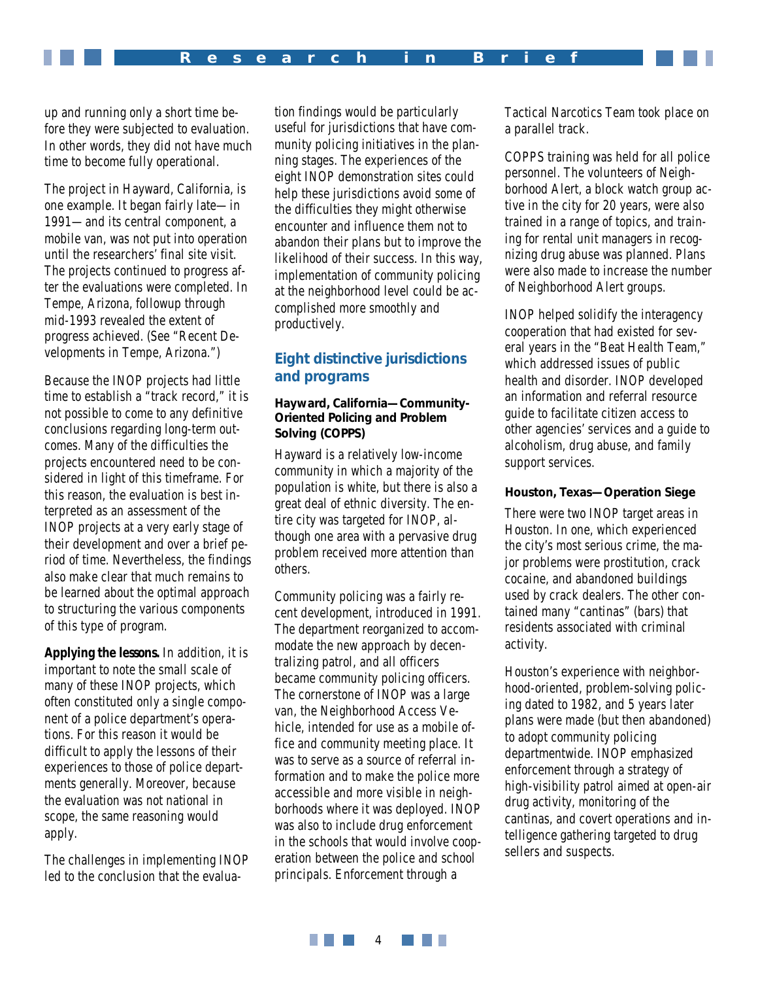up and running only a short time before they were subjected to evaluation. In other words, they did not have much time to become fully operational.

The project in Hayward, California, is one example. It began fairly late—in 1991—and its central component, a mobile van, was not put into operation until the researchers' final site visit. The projects continued to progress after the evaluations were completed. In Tempe, Arizona, followup through mid-1993 revealed the extent of progress achieved. (See "Recent Developments in Tempe, Arizona.")

Because the INOP projects had little time to establish a "track record," it is not possible to come to any definitive conclusions regarding long-term outcomes. Many of the difficulties the projects encountered need to be considered in light of this timeframe. For this reason, the evaluation is best interpreted as an assessment of the INOP projects at a very early stage of their development and over a brief period of time. Nevertheless, the findings also make clear that much remains to be learned about the optimal approach to structuring the various components of this type of program.

**Applying the lessons.** In addition, it is important to note the small scale of many of these INOP projects, which often constituted only a single component of a police department's operations. For this reason it would be difficult to apply the lessons of their experiences to those of police departments generally. Moreover, because the evaluation was not national in scope, the same reasoning would apply.

The challenges in implementing INOP led to the conclusion that the evalua-

tion findings would be particularly useful for jurisdictions that have community policing initiatives in the planning stages. The experiences of the eight INOP demonstration sites could help these jurisdictions avoid some of the difficulties they might otherwise encounter and influence them not to abandon their plans but to improve the likelihood of their success. In this way, implementation of community policing at the neighborhood level could be accomplished more smoothly and productively.

# **Eight distinctive jurisdictions and programs**

#### **Hayward, California—Community-Oriented Policing and Problem Solving (COPPS)**

Hayward is a relatively low-income community in which a majority of the population is white, but there is also a great deal of ethnic diversity. The entire city was targeted for INOP, although one area with a pervasive drug problem received more attention than others.

Community policing was a fairly recent development, introduced in 1991. The department reorganized to accommodate the new approach by decentralizing patrol, and all officers became community policing officers. The cornerstone of INOP was a large van, the Neighborhood Access Vehicle, intended for use as a mobile office and community meeting place. It was to serve as a source of referral information and to make the police more accessible and more visible in neighborhoods where it was deployed. INOP was also to include drug enforcement in the schools that would involve cooperation between the police and school principals. Enforcement through a

Tactical Narcotics Team took place on a parallel track.

COPPS training was held for all police personnel. The volunteers of Neighborhood Alert, a block watch group active in the city for 20 years, were also trained in a range of topics, and training for rental unit managers in recognizing drug abuse was planned. Plans were also made to increase the number of Neighborhood Alert groups.

INOP helped solidify the interagency cooperation that had existed for several years in the "Beat Health Team," which addressed issues of public health and disorder. INOP developed an information and referral resource guide to facilitate citizen access to other agencies' services and a guide to alcoholism, drug abuse, and family support services.

#### **Houston, Texas—Operation Siege**

There were two INOP target areas in Houston. In one, which experienced the city's most serious crime, the major problems were prostitution, crack cocaine, and abandoned buildings used by crack dealers. The other contained many "cantinas" (bars) that residents associated with criminal activity.

Houston's experience with neighborhood-oriented, problem-solving policing dated to 1982, and 5 years later plans were made (but then abandoned) to adopt community policing departmentwide. INOP emphasized enforcement through a strategy of high-visibility patrol aimed at open-air drug activity, monitoring of the cantinas, and covert operations and intelligence gathering targeted to drug sellers and suspects.

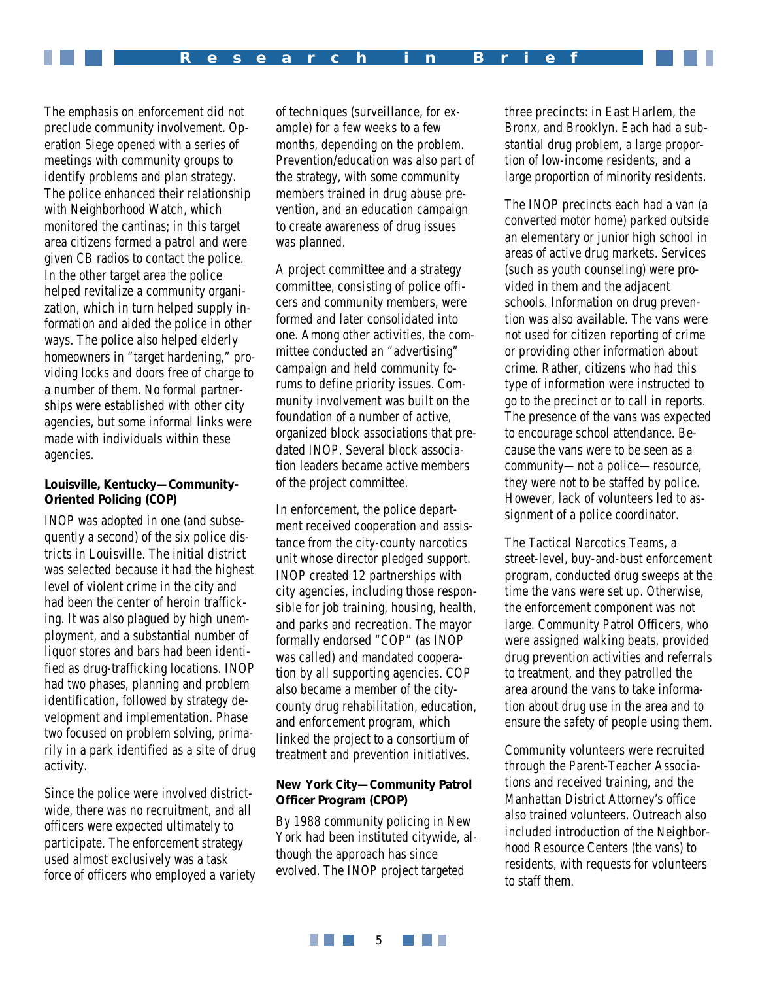The emphasis on enforcement did not preclude community involvement. Operation Siege opened with a series of meetings with community groups to identify problems and plan strategy. The police enhanced their relationship with Neighborhood Watch, which monitored the cantinas; in this target area citizens formed a patrol and were given CB radios to contact the police. In the other target area the police helped revitalize a community organization, which in turn helped supply information and aided the police in other ways. The police also helped elderly homeowners in "target hardening," providing locks and doors free of charge to a number of them. No formal partnerships were established with other city agencies, but some informal links were made with individuals within these agencies.

## **Louisville, Kentucky—Community-Oriented Policing (COP)**

INOP was adopted in one (and subsequently a second) of the six police districts in Louisville. The initial district was selected because it had the highest level of violent crime in the city and had been the center of heroin trafficking. It was also plagued by high unemployment, and a substantial number of liquor stores and bars had been identified as drug-trafficking locations. INOP had two phases, planning and problem identification, followed by strategy development and implementation. Phase two focused on problem solving, primarily in a park identified as a site of drug activity.

Since the police were involved districtwide, there was no recruitment, and all officers were expected ultimately to participate. The enforcement strategy used almost exclusively was a task force of officers who employed a variety of techniques (surveillance, for example) for a few weeks to a few months, depending on the problem. Prevention/education was also part of the strategy, with some community members trained in drug abuse prevention, and an education campaign to create awareness of drug issues was planned.

A project committee and a strategy committee, consisting of police officers and community members, were formed and later consolidated into one. Among other activities, the committee conducted an "advertising" campaign and held community forums to define priority issues. Community involvement was built on the foundation of a number of active, organized block associations that predated INOP. Several block association leaders became active members of the project committee.

In enforcement, the police department received cooperation and assistance from the city-county narcotics unit whose director pledged support. INOP created 12 partnerships with city agencies, including those responsible for job training, housing, health, and parks and recreation. The mayor formally endorsed "COP" (as INOP was called) and mandated cooperation by all supporting agencies. COP also became a member of the citycounty drug rehabilitation, education, and enforcement program, which linked the project to a consortium of treatment and prevention initiatives.

# **New York City—Community Patrol Officer Program (CPOP)**

By 1988 community policing in New York had been instituted citywide, although the approach has since evolved. The INOP project targeted

three precincts: in East Harlem, the Bronx, and Brooklyn. Each had a substantial drug problem, a large proportion of low-income residents, and a large proportion of minority residents.

The INOP precincts each had a van (a converted motor home) parked outside an elementary or junior high school in areas of active drug markets. Services (such as youth counseling) were provided in them and the adjacent schools. Information on drug prevention was also available. The vans were not used for citizen reporting of crime or providing other information about crime. Rather, citizens who had this type of information were instructed to go to the precinct or to call in reports. The presence of the vans was expected to encourage school attendance. Because the vans were to be seen as a community—not a police—resource, they were not to be staffed by police. However, lack of volunteers led to assignment of a police coordinator.

The Tactical Narcotics Teams, a street-level, buy-and-bust enforcement program, conducted drug sweeps at the time the vans were set up. Otherwise, the enforcement component was not large. Community Patrol Officers, who were assigned walking beats, provided drug prevention activities and referrals to treatment, and they patrolled the area around the vans to take information about drug use in the area and to ensure the safety of people using them.

Community volunteers were recruited through the Parent-Teacher Associations and received training, and the Manhattan District Attorney's office also trained volunteers. Outreach also included introduction of the Neighborhood Resource Centers (the vans) to residents, with requests for volunteers to staff them.

**THE REA** 5 a di Kabupatén Band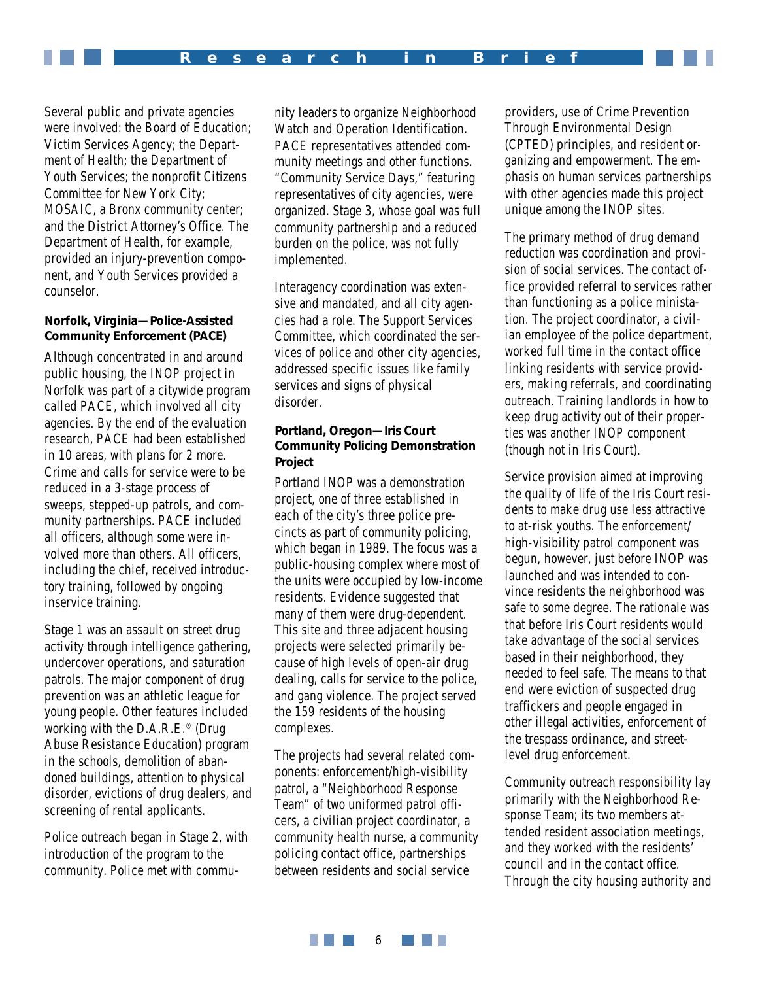Several public and private agencies were involved: the Board of Education; Victim Services Agency; the Department of Health; the Department of Youth Services; the nonprofit Citizens Committee for New York City; MOSAIC, a Bronx community center; and the District Attorney's Office. The Department of Health, for example, provided an injury-prevention component, and Youth Services provided a counselor.

#### **Norfolk, Virginia—Police-Assisted Community Enforcement (PACE)**

Although concentrated in and around public housing, the INOP project in Norfolk was part of a citywide program called PACE, which involved all city agencies. By the end of the evaluation research, PACE had been established in 10 areas, with plans for 2 more. Crime and calls for service were to be reduced in a 3-stage process of sweeps, stepped-up patrols, and community partnerships. PACE included all officers, although some were involved more than others. All officers, including the chief, received introductory training, followed by ongoing inservice training.

Stage 1 was an assault on street drug activity through intelligence gathering, undercover operations, and saturation patrols. The major component of drug prevention was an athletic league for young people. Other features included working with the D.A.R.E.® (Drug Abuse Resistance Education) program in the schools, demolition of abandoned buildings, attention to physical disorder, evictions of drug dealers, and screening of rental applicants.

Police outreach began in Stage 2, with introduction of the program to the community. Police met with community leaders to organize Neighborhood Watch and Operation Identification. PACE representatives attended community meetings and other functions. "Community Service Days," featuring representatives of city agencies, were organized. Stage 3, whose goal was full community partnership and a reduced burden on the police, was not fully implemented.

Interagency coordination was extensive and mandated, and all city agencies had a role. The Support Services Committee, which coordinated the services of police and other city agencies, addressed specific issues like family services and signs of physical disorder.

# **Portland, Oregon—Iris Court Community Policing Demonstration Project**

Portland INOP was a demonstration project, one of three established in each of the city's three police precincts as part of community policing, which began in 1989. The focus was a public-housing complex where most of the units were occupied by low-income residents. Evidence suggested that many of them were drug-dependent. This site and three adjacent housing projects were selected primarily because of high levels of open-air drug dealing, calls for service to the police, and gang violence. The project served the 159 residents of the housing complexes.

The projects had several related components: enforcement/high-visibility patrol, a "Neighborhood Response Team" of two uniformed patrol officers, a civilian project coordinator, a community health nurse, a community policing contact office, partnerships between residents and social service

providers, use of Crime Prevention Through Environmental Design (CPTED) principles, and resident organizing and empowerment. The emphasis on human services partnerships with other agencies made this project unique among the INOP sites.

The primary method of drug demand reduction was coordination and provision of social services. The contact office provided referral to services rather than functioning as a police ministation. The project coordinator, a civilian employee of the police department, worked full time in the contact office linking residents with service providers, making referrals, and coordinating outreach. Training landlords in how to keep drug activity out of their properties was another INOP component (though not in Iris Court).

Service provision aimed at improving the quality of life of the Iris Court residents to make drug use less attractive to at-risk youths. The enforcement/ high-visibility patrol component was begun, however, just before INOP was launched and was intended to convince residents the neighborhood was safe to some degree. The rationale was that before Iris Court residents would take advantage of the social services based in their neighborhood, they needed to feel safe. The means to that end were eviction of suspected drug traffickers and people engaged in other illegal activities, enforcement of the trespass ordinance, and streetlevel drug enforcement.

Community outreach responsibility lay primarily with the Neighborhood Response Team; its two members attended resident association meetings, and they worked with the residents' council and in the contact office. Through the city housing authority and

**THE REAL** a di Kabupatén Band 6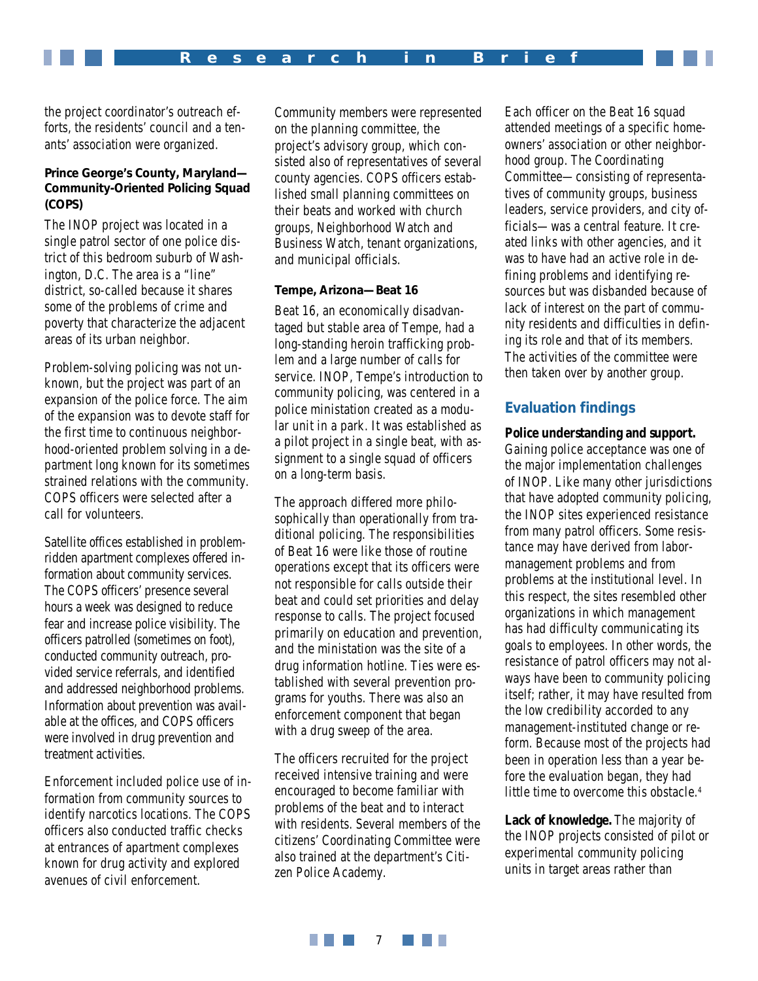the project coordinator's outreach efforts, the residents' council and a tenants' association were organized.

# **Prince George's County, Maryland— Community-Oriented Policing Squad (COPS)**

The INOP project was located in a single patrol sector of one police district of this bedroom suburb of Washington, D.C. The area is a "line" district, so-called because it shares some of the problems of crime and poverty that characterize the adjacent areas of its urban neighbor.

Problem-solving policing was not unknown, but the project was part of an expansion of the police force. The aim of the expansion was to devote staff for the first time to continuous neighborhood-oriented problem solving in a department long known for its sometimes strained relations with the community. COPS officers were selected after a call for volunteers.

Satellite offices established in problemridden apartment complexes offered information about community services. The COPS officers' presence several hours a week was designed to reduce fear and increase police visibility. The officers patrolled (sometimes on foot), conducted community outreach, provided service referrals, and identified and addressed neighborhood problems. Information about prevention was available at the offices, and COPS officers were involved in drug prevention and treatment activities.

Enforcement included police use of information from community sources to identify narcotics locations. The COPS officers also conducted traffic checks at entrances of apartment complexes known for drug activity and explored avenues of civil enforcement.

Community members were represented on the planning committee, the project's advisory group, which consisted also of representatives of several county agencies. COPS officers established small planning committees on their beats and worked with church groups, Neighborhood Watch and Business Watch, tenant organizations, and municipal officials.

#### **Tempe, Arizona—Beat 16**

Beat 16, an economically disadvantaged but stable area of Tempe, had a long-standing heroin trafficking problem and a large number of calls for service. INOP, Tempe's introduction to community policing, was centered in a police ministation created as a modular unit in a park. It was established as a pilot project in a single beat, with assignment to a single squad of officers on a long-term basis.

The approach differed more philosophically than operationally from traditional policing. The responsibilities of Beat 16 were like those of routine operations except that its officers were not responsible for calls outside their beat and could set priorities and delay response to calls. The project focused primarily on education and prevention, and the ministation was the site of a drug information hotline. Ties were established with several prevention programs for youths. There was also an enforcement component that began with a drug sweep of the area.

The officers recruited for the project received intensive training and were encouraged to become familiar with problems of the beat and to interact with residents. Several members of the citizens' Coordinating Committee were also trained at the department's Citizen Police Academy.

Each officer on the Beat 16 squad attended meetings of a specific homeowners' association or other neighborhood group. The Coordinating Committee—consisting of representatives of community groups, business leaders, service providers, and city officials—was a central feature. It created links with other agencies, and it was to have had an active role in defining problems and identifying resources but was disbanded because of lack of interest on the part of community residents and difficulties in defining its role and that of its members. The activities of the committee were then taken over by another group.

# **Evaluation findings**

#### **Police understanding and support.**

Gaining police acceptance was one of the major implementation challenges of INOP. Like many other jurisdictions that have adopted community policing, the INOP sites experienced resistance from many patrol officers. Some resistance may have derived from labormanagement problems and from problems at the institutional level. In this respect, the sites resembled other organizations in which management has had difficulty communicating its goals to employees. In other words, the resistance of patrol officers may not always have been to community policing itself; rather, it may have resulted from the low credibility accorded to any management-instituted change or reform. Because most of the projects had been in operation less than a year before the evaluation began, they had little time to overcome this obstacle.<sup>4</sup>

**Lack of knowledge.** The majority of the INOP projects consisted of pilot or experimental community policing units in target areas rather than

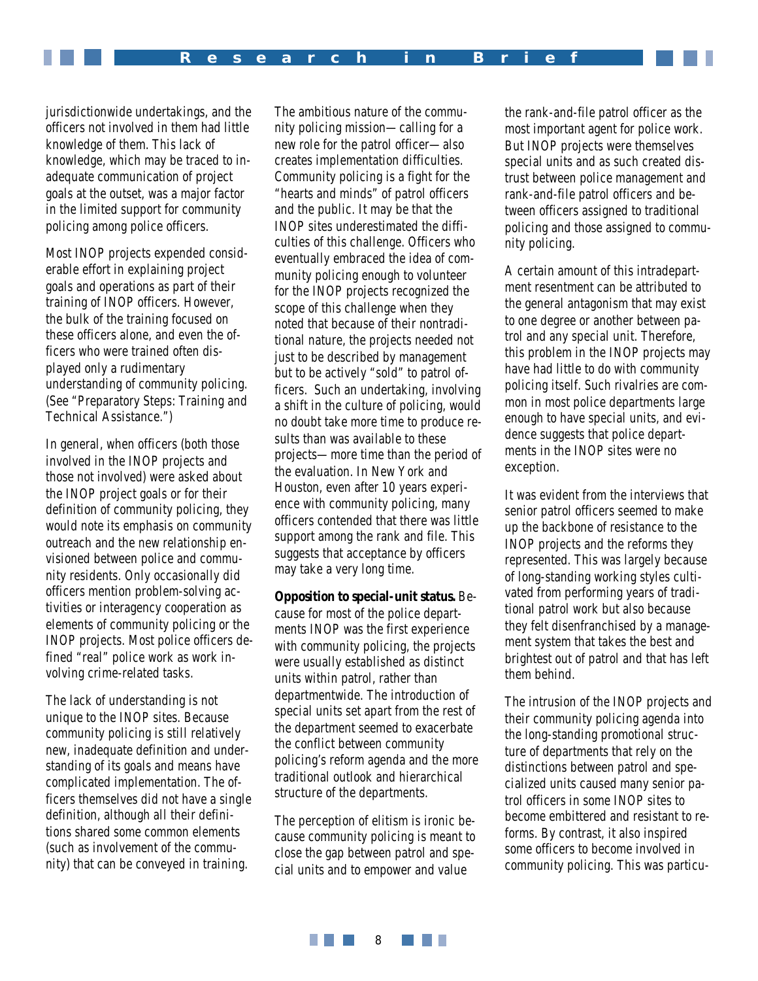jurisdictionwide undertakings, and the officers not involved in them had little knowledge of them. This lack of knowledge, which may be traced to inadequate communication of project goals at the outset, was a major factor in the limited support for community policing among police officers.

Most INOP projects expended considerable effort in explaining project goals and operations as part of their training of INOP officers. However, the bulk of the training focused on these officers alone, and even the officers who were trained often displayed only a rudimentary understanding of community policing. (See "Preparatory Steps: Training and Technical Assistance.")

In general, when officers (both those involved in the INOP projects and those not involved) were asked about the INOP project goals or for their definition of community policing, they would note its emphasis on community outreach and the new relationship envisioned between police and community residents. Only occasionally did officers mention problem-solving activities or interagency cooperation as elements of community policing or the INOP projects. Most police officers defined "real" police work as work involving crime-related tasks.

The lack of understanding is not unique to the INOP sites. Because community policing is still relatively new, inadequate definition and understanding of its goals and means have complicated implementation. The officers themselves did not have a single definition, although all their definitions shared some common elements (such as involvement of the community) that can be conveyed in training.

The ambitious nature of the community policing mission—calling for a new role for the patrol officer—also creates implementation difficulties. Community policing is a fight for the "hearts and minds" of patrol officers and the public. It may be that the INOP sites underestimated the difficulties of this challenge. Officers who eventually embraced the idea of community policing enough to volunteer for the INOP projects recognized the scope of this challenge when they noted that because of their nontraditional nature, the projects needed not just to be described by management but to be actively "sold" to patrol officers. Such an undertaking, involving a shift in the culture of policing, would no doubt take more time to produce results than was available to these projects—more time than the period of the evaluation. In New York and Houston, even after 10 years experience with community policing, many officers contended that there was little support among the rank and file. This suggests that acceptance by officers may take a very long time.

**Opposition to special-unit status.** Because for most of the police departments INOP was the first experience with community policing, the projects were usually established as distinct units within patrol, rather than departmentwide. The introduction of special units set apart from the rest of the department seemed to exacerbate the conflict between community policing's reform agenda and the more traditional outlook and hierarchical structure of the departments.

The perception of elitism is ironic because community policing is meant to close the gap between patrol and special units and to empower and value

the rank-and-file patrol officer as the most important agent for police work. But INOP projects were themselves special units and as such created distrust between police management and rank-and-file patrol officers and between officers assigned to traditional policing and those assigned to community policing.

A certain amount of this intradepartment resentment can be attributed to the general antagonism that may exist to one degree or another between patrol and any special unit. Therefore, this problem in the INOP projects may have had little to do with community policing itself. Such rivalries are common in most police departments large enough to have special units, and evidence suggests that police departments in the INOP sites were no exception.

It was evident from the interviews that senior patrol officers seemed to make up the backbone of resistance to the INOP projects and the reforms they represented. This was largely because of long-standing working styles cultivated from performing years of traditional patrol work but also because they felt disenfranchised by a management system that takes the best and brightest out of patrol and that has left them behind.

The intrusion of the INOP projects and their community policing agenda into the long-standing promotional structure of departments that rely on the distinctions between patrol and specialized units caused many senior patrol officers in some INOP sites to become embittered and resistant to reforms. By contrast, it also inspired some officers to become involved in community policing. This was particu-

**THE REAL** a di Kabupatén Band 8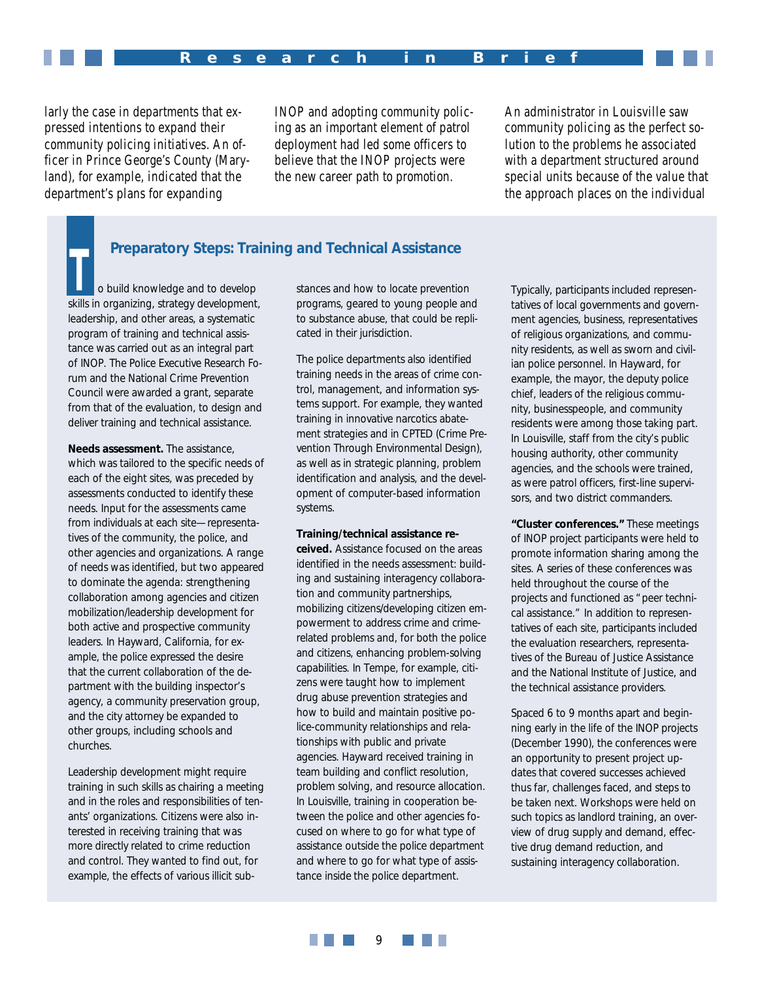larly the case in departments that expressed intentions to expand their community policing initiatives. An officer in Prince George's County (Maryland), for example, indicated that the department's plans for expanding

INOP and adopting community policing as an important element of patrol deployment had led some officers to believe that the INOP projects were the new career path to promotion.

An administrator in Louisville saw community policing as the perfect solution to the problems he associated with a department structured around special units because of the value that the approach places on the individual

# **Preparatory Steps: Training and Technical Assistance**

o build knowledge and to develop skills in organizing, strategy development, leadership, and other areas, a systematic program of training and technical assistance was carried out as an integral part of INOP. The Police Executive Research Forum and the National Crime Prevention Council were awarded a grant, separate from that of the evaluation, to design and deliver training and technical assistance. **T**

**Needs assessment.** The assistance, which was tailored to the specific needs of each of the eight sites, was preceded by assessments conducted to identify these needs. Input for the assessments came from individuals at each site—representatives of the community, the police, and other agencies and organizations. A range of needs was identified, but two appeared to dominate the agenda: strengthening collaboration among agencies and citizen mobilization/leadership development for both active and prospective community leaders. In Hayward, California, for example, the police expressed the desire that the current collaboration of the department with the building inspector's agency, a community preservation group, and the city attorney be expanded to other groups, including schools and churches.

Leadership development might require training in such skills as chairing a meeting and in the roles and responsibilities of tenants' organizations. Citizens were also interested in receiving training that was more directly related to crime reduction and control. They wanted to find out, for example, the effects of various illicit substances and how to locate prevention programs, geared to young people and to substance abuse, that could be replicated in their jurisdiction.

The police departments also identified training needs in the areas of crime control, management, and information systems support. For example, they wanted training in innovative narcotics abatement strategies and in CPTED (Crime Prevention Through Environmental Design), as well as in strategic planning, problem identification and analysis, and the development of computer-based information systems.

#### **Training/technical assistance re-**

**ceived.** Assistance focused on the areas identified in the needs assessment: building and sustaining interagency collaboration and community partnerships, mobilizing citizens/developing citizen empowerment to address crime and crimerelated problems and, for both the police and citizens, enhancing problem-solving capabilities. In Tempe, for example, citizens were taught how to implement drug abuse prevention strategies and how to build and maintain positive police-community relationships and relationships with public and private agencies. Hayward received training in team building and conflict resolution, problem solving, and resource allocation. In Louisville, training in cooperation between the police and other agencies focused on where to go for what type of assistance *outside* the police department and where to go for what type of assistance *inside* the police department.

Typically, participants included representatives of local governments and government agencies, business, representatives of religious organizations, and community residents, as well as sworn and civilian police personnel. In Hayward, for example, the mayor, the deputy police chief, leaders of the religious community, businesspeople, and community residents were among those taking part. In Louisville, staff from the city's public housing authority, other community agencies, and the schools were trained, as were patrol officers, first-line supervisors, and two district commanders.

**"Cluster conferences."** These meetings of INOP project participants were held to promote information sharing among the sites. A series of these conferences was held throughout the course of the projects and functioned as "peer technical assistance." In addition to representatives of each site, participants included the evaluation researchers, representatives of the Bureau of Justice Assistance and the National Institute of Justice, and the technical assistance providers.

Spaced 6 to 9 months apart and beginning early in the life of the INOP projects (December 1990), the conferences were an opportunity to present project updates that covered successes achieved thus far, challenges faced, and steps to be taken next. Workshops were held on such topics as landlord training, an overview of drug supply and demand, effective drug demand reduction, and sustaining interagency collaboration.

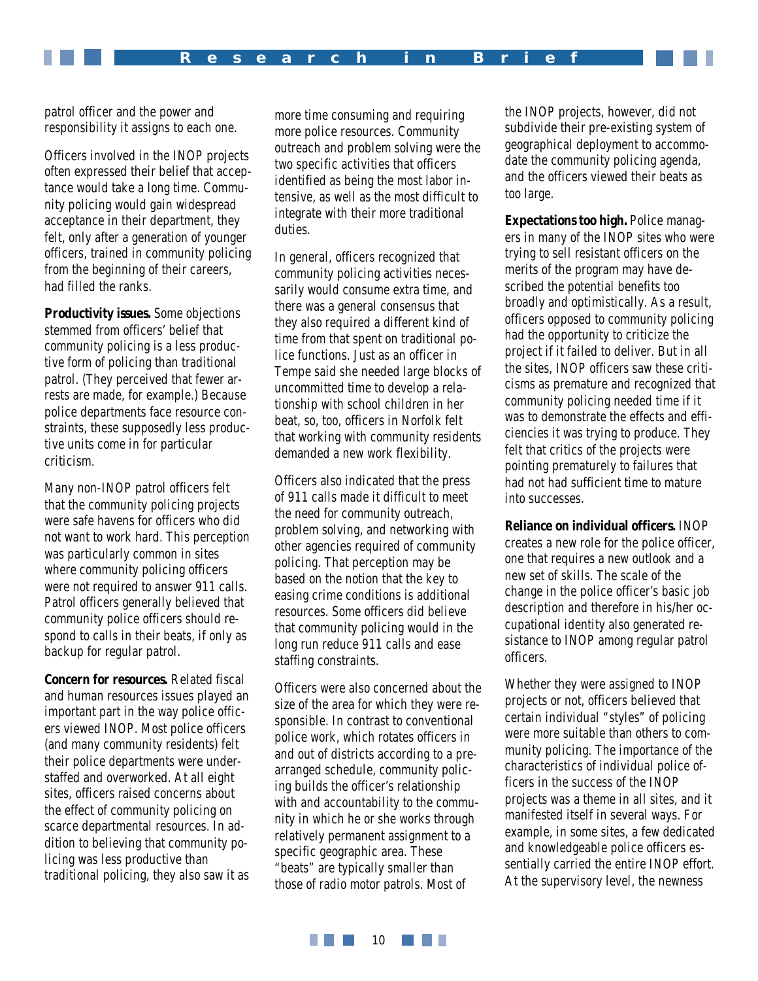patrol officer and the power and responsibility it assigns to each one.

Officers involved in the INOP projects often expressed their belief that acceptance would take a long time. Community policing would gain widespread acceptance in their department, they felt, only after a generation of younger officers, trained in community policing from the beginning of their careers, had filled the ranks.

**Productivity issues.** Some objections stemmed from officers' belief that community policing is a less productive form of policing than traditional patrol. (They perceived that fewer arrests are made, for example.) Because police departments face resource constraints, these supposedly less productive units come in for particular criticism.

Many non-INOP patrol officers felt that the community policing projects were safe havens for officers who did not want to work hard. This perception was particularly common in sites where community policing officers were not required to answer 911 calls. Patrol officers generally believed that community police officers should respond to calls in their beats, if only as backup for regular patrol.

**Concern for resources.** Related fiscal and human resources issues played an important part in the way police officers viewed INOP. Most police officers (and many community residents) felt their police departments were understaffed and overworked. At all eight sites, officers raised concerns about the effect of community policing on scarce departmental resources. In addition to believing that community policing was less productive than traditional policing, they also saw it as

more time consuming and requiring more police resources. Community outreach and problem solving were the two specific activities that officers identified as being the most labor intensive, as well as the most difficult to integrate with their more traditional duties.

In general, officers recognized that community policing activities necessarily would consume extra time, and there was a general consensus that they also required a different *kind* of time from that spent on traditional police functions. Just as an officer in Tempe said she needed large blocks of uncommitted time to develop a relationship with school children in her beat, so, too, officers in Norfolk felt that working with community residents demanded a new work flexibility.

Officers also indicated that the press of 911 calls made it difficult to meet the need for community outreach, problem solving, and networking with other agencies required of community policing. That perception may be based on the notion that the key to easing crime conditions is additional resources. Some officers did believe that community policing would in the long run reduce 911 calls and ease staffing constraints.

Officers were also concerned about the size of the area for which they were responsible. In contrast to conventional police work, which rotates officers in and out of districts according to a prearranged schedule, community policing builds the officer's relationship with and accountability to the community in which he or she works through relatively permanent assignment to a specific geographic area. These "beats" are typically smaller than those of radio motor patrols. Most of

the INOP projects, however, did not subdivide their pre-existing system of geographical deployment to accommodate the community policing agenda, and the officers viewed their beats as too large.

**Expectations too high.** Police managers in many of the INOP sites who were trying to sell resistant officers on the merits of the program may have described the potential benefits too broadly and optimistically. As a result, officers opposed to community policing had the opportunity to criticize the project if it failed to deliver. But in all the sites, INOP officers saw these criticisms as premature and recognized that community policing needed time if it was to demonstrate the effects and efficiencies it was trying to produce. They felt that critics of the projects were pointing prematurely to failures that had not had sufficient time to mature into successes.

**Reliance on individual officers.** INOP creates a new role for the police officer, one that requires a new outlook and a new set of skills. The scale of the change in the police officer's basic job description and therefore in his/her occupational identity also generated resistance to INOP among regular patrol officers.

Whether they were assigned to INOP projects or not, officers believed that certain individual "styles" of policing were more suitable than others to community policing. The importance of the characteristics of individual police officers in the success of the INOP projects was a theme in all sites, and it manifested itself in several ways. For example, in some sites, a few dedicated and knowledgeable police officers essentially carried the entire INOP effort. At the supervisory level, the newness

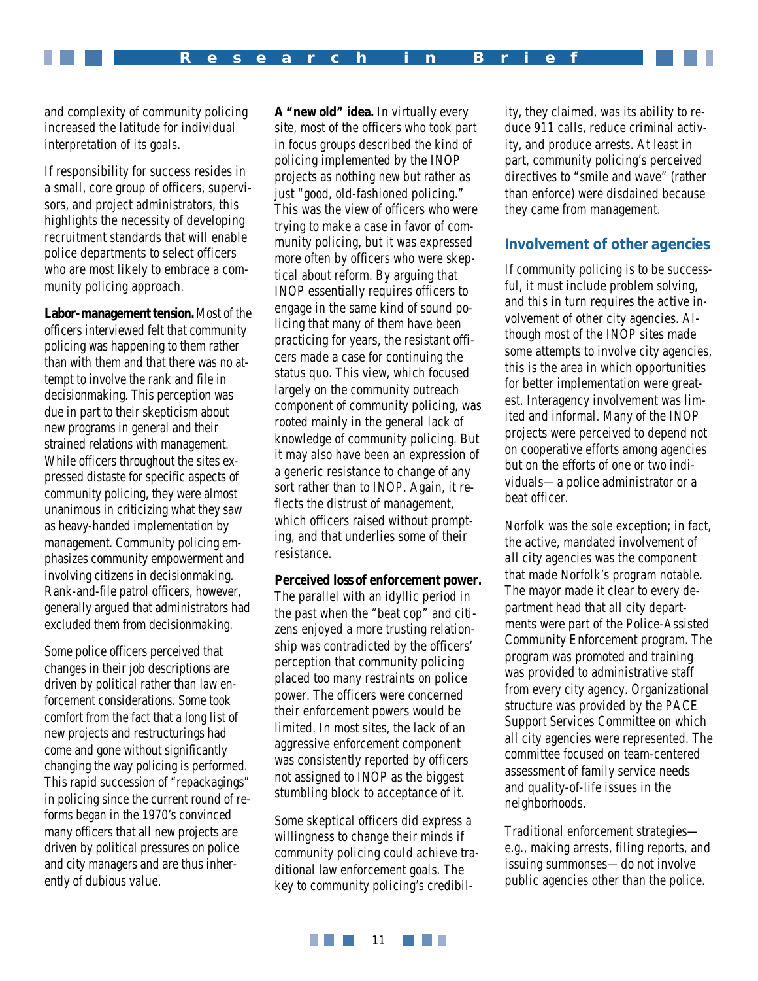and complexity of community policing increased the latitude for individual interpretation of its goals.

If responsibility for success resides in a small, core group of officers, supervisors, and project administrators, this highlights the necessity of developing recruitment standards that will enable police departments to select officers who are most likely to embrace a community policing approach.

**Labor-management tension.** Most of the officers interviewed felt that community policing was happening *to* them rather than *with* them and that there was no attempt to involve the rank and file in decisionmaking. This perception was due in part to their skepticism about new programs in general and their strained relations with management. While officers throughout the sites expressed distaste for specific aspects of community policing, they were almost unanimous in criticizing what they saw as heavy-handed implementation by management. Community policing emphasizes community empowerment and involving citizens in decisionmaking. Rank-and-file patrol officers, however, generally argued that administrators had excluded them from decisionmaking.

Some police officers perceived that changes in their job descriptions are driven by political rather than law enforcement considerations. Some took comfort from the fact that a long list of new projects and restructurings had come and gone without significantly changing the way policing is performed. This rapid succession of "repackagings" in policing since the current round of reforms began in the 1970's convinced many officers that all new projects are driven by political pressures on police and city managers and are thus inherently of dubious value.

**A "new old" idea.** In virtually every site, most of the officers who took part in focus groups described the kind of policing implemented by the INOP projects as nothing new but rather as just "good, old-fashioned policing." This was the view of officers who were trying to make a case in favor of community policing, but it was expressed more often by officers who were skeptical about reform. By arguing that INOP essentially requires officers to engage in the same kind of sound policing that many of them have been practicing for years, the resistant officers made a case for continuing the status quo. This view, which focused largely on the community outreach component of community policing, was rooted mainly in the general lack of knowledge of community policing. But it may also have been an expression of a generic resistance to change of any sort rather than to INOP. Again, it reflects the distrust of management, which officers raised without prompting, and that underlies some of their resistance.

**Perceived loss of enforcement power.** The parallel with an idyllic period in the past when the "beat cop" and citizens enjoyed a more trusting relationship was contradicted by the officers' perception that community policing placed too many restraints on police power. The officers were concerned their enforcement powers would be limited. In most sites, the lack of an aggressive enforcement component was consistently reported by officers not assigned to INOP as the biggest stumbling block to acceptance of it.

Some skeptical officers did express a willingness to change their minds if community policing could achieve traditional law enforcement goals. The key to community policing's credibility, they claimed, was its ability to reduce 911 calls, reduce criminal activity, and produce arrests. At least in part, community policing's perceived directives to "smile and wave" (rather than enforce) were disdained because they came from management.

## **Involvement of other agencies**

If community policing is to be successful, it must include problem solving, and this in turn requires the active involvement of other city agencies. Although most of the INOP sites made some attempts to involve city agencies, this is the area in which opportunities for better implementation were greatest. Interagency involvement was limited and informal. Many of the INOP projects were perceived to depend not on cooperative efforts among agencies but on the efforts of one or two individuals—a police administrator or a beat officer.

Norfolk was the sole exception; in fact, the active, mandated involvement of *all* city agencies was the component that made Norfolk's program notable. The mayor made it clear to every department head that all city departments were part of the Police-Assisted Community Enforcement program. The program was promoted and training was provided to administrative staff from every city agency. Organizational structure was provided by the PACE Support Services Committee on which all city agencies were represented. The committee focused on team-centered assessment of family service needs and quality-of-life issues in the neighborhoods.

Traditional enforcement strategies e.g., making arrests, filing reports, and issuing summonses—do not involve public agencies other than the police.

**THE REA The Common** 11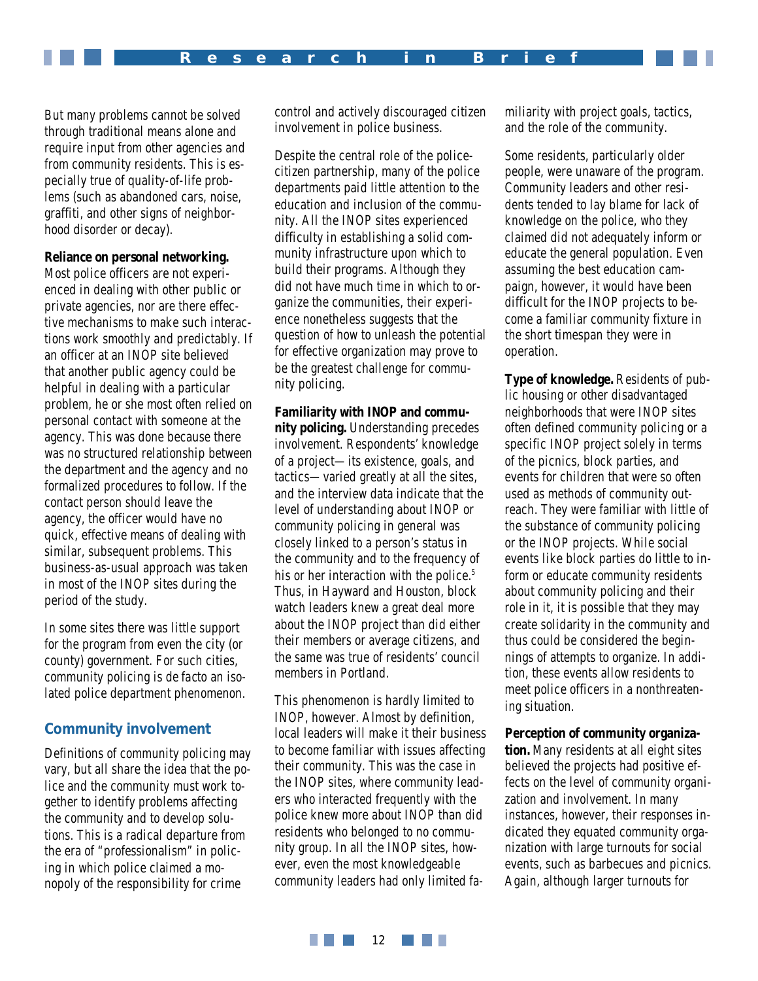But many problems cannot be solved through traditional means alone and require input from other agencies and from community residents. This is especially true of quality-of-life problems (such as abandoned cars, noise, graffiti, and other signs of neighborhood disorder or decay).

#### **Reliance on personal networking.**

Most police officers are not experienced in dealing with other public or private agencies, nor are there effective mechanisms to make such interactions work smoothly and predictably. If an officer at an INOP site believed that another public agency could be helpful in dealing with a particular problem, he or she most often relied on personal contact with someone at the agency. This was done because there was no structured relationship between the department and the agency and no formalized procedures to follow. If the contact person should leave the agency, the officer would have no quick, effective means of dealing with similar, subsequent problems. This business-as-usual approach was taken in most of the INOP sites during the period of the study.

In some sites there was little support for the program from even the city (or county) government. For such cities, community policing is *de facto* an isolated police department phenomenon.

#### **Community involvement**

Definitions of community policing may vary, but all share the idea that the police and the community must work together to identify problems affecting the community and to develop solutions. This is a radical departure from the era of "professionalism" in policing in which police claimed a monopoly of the responsibility for crime

control and actively discouraged citizen involvement in police business.

Despite the central role of the policecitizen partnership, many of the police departments paid little attention to the education and inclusion of the community. All the INOP sites experienced difficulty in establishing a solid community infrastructure upon which to build their programs. Although they did not have much time in which to organize the communities, their experience nonetheless suggests that the question of how to unleash the potential for effective organization may prove to be the greatest challenge for community policing.

**Familiarity with INOP and community policing.** Understanding precedes involvement. Respondents' knowledge of a project—its existence, goals, and tactics—varied greatly at all the sites, and the interview data indicate that the level of understanding about INOP or community policing in general was closely linked to a person's status in the community and to the frequency of his or her interaction with the police.<sup>5</sup> Thus, in Hayward and Houston, block watch leaders knew a great deal more about the INOP project than did either their members or average citizens, and the same was true of residents' council members in Portland.

This phenomenon is hardly limited to INOP, however. Almost by definition, local leaders will make it their business to become familiar with issues affecting their community. This was the case in the INOP sites, where community leaders who interacted frequently with the police knew more about INOP than did residents who belonged to no community group. In all the INOP sites, however, even the most knowledgeable community leaders had only limited familiarity with project goals, tactics, and the role of the community.

Some residents, particularly older people, were unaware of the program. Community leaders and other residents tended to lay blame for lack of knowledge on the police, who they claimed did not adequately inform or educate the general population. Even assuming the best education campaign, however, it would have been difficult for the INOP projects to become a familiar community fixture in the short timespan they were in operation.

**Type of knowledge.** Residents of public housing or other disadvantaged neighborhoods that were INOP sites often defined community policing or a specific INOP project solely in terms of the picnics, block parties, and events for children that were so often used as methods of community outreach. They were familiar with little of the substance of community policing or the INOP projects. While social events like block parties do little to inform or educate community residents about community policing and their role in it, it is possible that they may create solidarity in the community and thus could be considered the beginnings of attempts to organize. In addition, these events allow residents to meet police officers in a nonthreatening situation.

#### **Perception of community organiza-**

**tion.** Many residents at all eight sites believed the projects had positive effects on the level of community organization and involvement. In many instances, however, their responses indicated they equated community organization with large turnouts for social events, such as barbecues and picnics. Again, although larger turnouts for

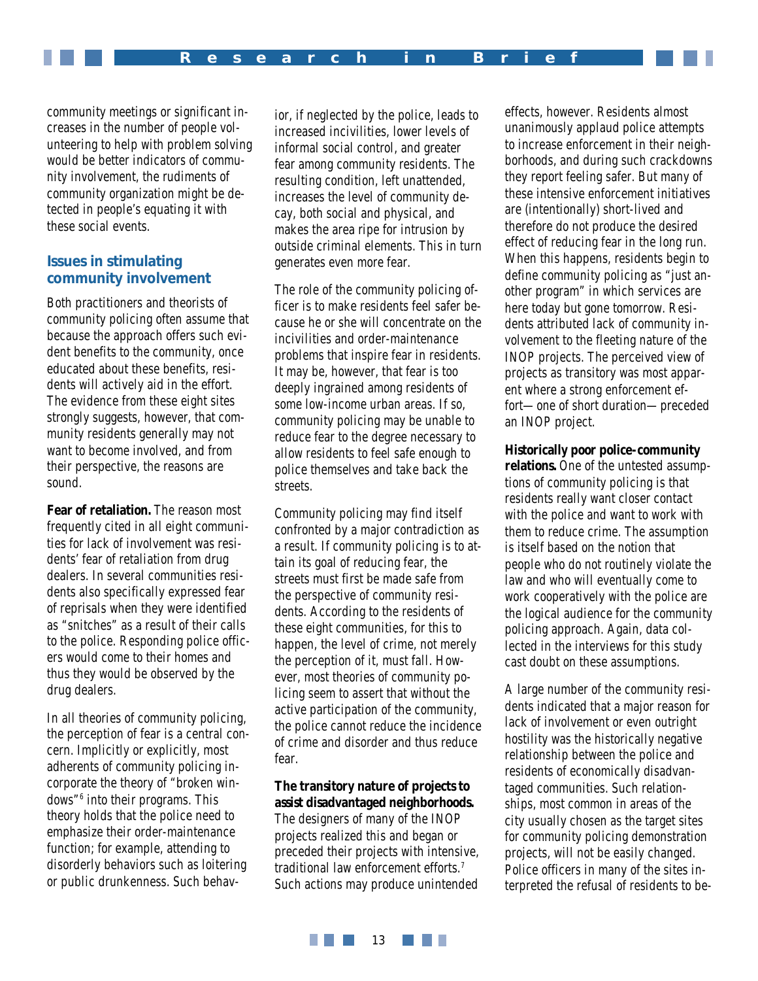community meetings or significant increases in the number of people volunteering to help with problem solving would be better indicators of community involvement, the rudiments of community organization might be detected in people's equating it with these social events.

# **Issues in stimulating community involvement**

Both practitioners and theorists of community policing often assume that because the approach offers such evident benefits to the community, once educated about these benefits, residents will actively aid in the effort. The evidence from these eight sites strongly suggests, however, that community residents generally may *not* want to become involved, and from their perspective, the reasons are sound.

**Fear of retaliation.** The reason most frequently cited in all eight communities for lack of involvement was residents' fear of retaliation from drug dealers. In several communities residents also specifically expressed fear of reprisals when they were identified as "snitches" as a result of their calls to the police. Responding police officers would come to their homes and thus they would be observed by the drug dealers.

In all theories of community policing, the perception of fear is a central concern. Implicitly or explicitly, most adherents of community policing incorporate the theory of "broken windows"6 into their programs. This theory holds that the police need to emphasize their order-maintenance function; for example, attending to disorderly behaviors such as loitering or public drunkenness. Such behav-

ior, if neglected by the police, leads to increased incivilities, lower levels of informal social control, and greater fear among community residents. The resulting condition, left unattended, increases the level of community decay, both social and physical, and makes the area ripe for intrusion by outside criminal elements. This in turn generates even more fear.

The role of the community policing officer is to make residents feel safer because he or she will concentrate on the incivilities and order-maintenance problems that inspire fear in residents. It may be, however, that fear is too deeply ingrained among residents of some low-income urban areas. If so, community policing may be unable to reduce fear to the degree necessary to allow residents to feel safe enough to police themselves and take back the streets.

Community policing may find itself confronted by a major contradiction as a result. If community policing is to attain its goal of reducing fear, the streets must first be made safe from the perspective of community residents. According to the residents of these eight communities, for this to happen, the level of crime, not merely the perception of it, must fall. However, most theories of community policing seem to assert that without the active participation of the community, the police cannot reduce the incidence of crime and disorder and thus reduce fear.

**The transitory nature of projects to assist disadvantaged neighborhoods.** The designers of many of the INOP projects realized this and began or preceded their projects with intensive, traditional law enforcement efforts.7 Such actions may produce unintended

effects, however. Residents almost unanimously applaud police attempts to increase enforcement in their neighborhoods, and during such crackdowns they report feeling safer. But many of these intensive enforcement initiatives are (intentionally) short-lived and therefore do not produce the desired effect of reducing fear in the long run. When this happens, residents begin to define community policing as "just another program" in which services are here today but gone tomorrow. Residents attributed lack of community involvement to the fleeting nature of the INOP projects. The perceived view of projects as transitory was most apparent where a strong enforcement effort—one of short duration—preceded an INOP project.

**Historically poor police-community relations.** One of the untested assumptions of community policing is that residents really want closer contact with the police and want to work with them to reduce crime. The assumption is itself based on the notion that people who do not routinely violate the law and who will eventually come to work cooperatively with the police are the logical audience for the community policing approach. Again, data collected in the interviews for this study cast doubt on these assumptions.

A large number of the community residents indicated that a major reason for lack of involvement or even outright hostility was the historically negative relationship between the police and residents of economically disadvantaged communities. Such relationships, most common in areas of the city usually chosen as the target sites for community policing demonstration projects, will not be easily changed. Police officers in many of the sites interpreted the refusal of residents to be-

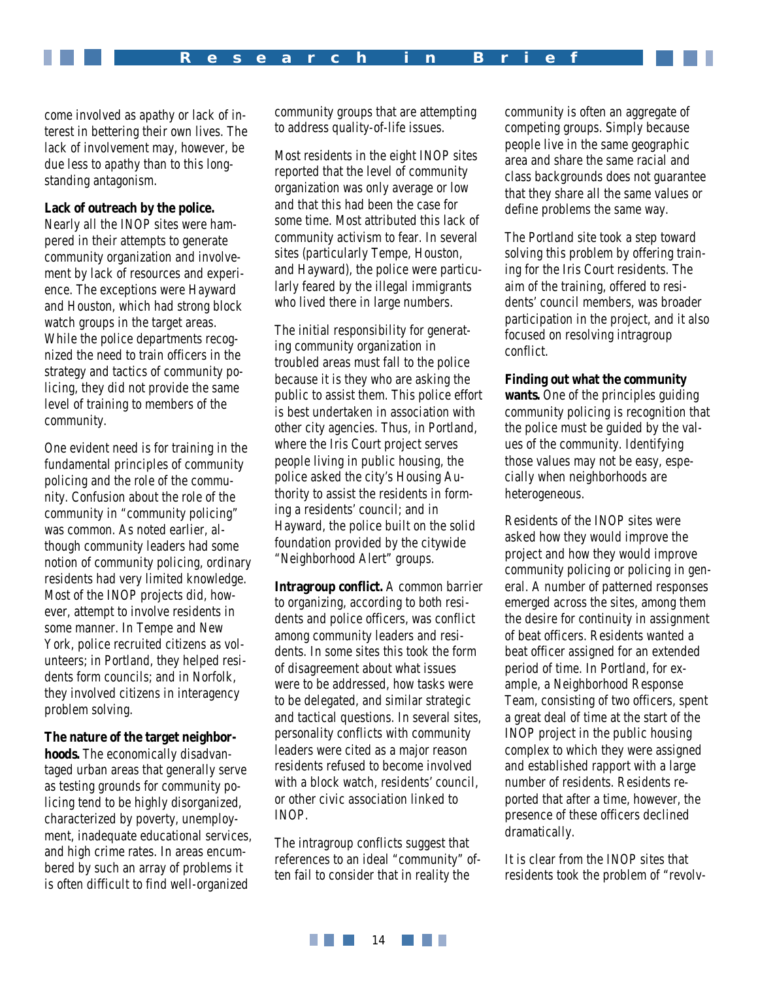come involved as apathy or lack of interest in bettering their own lives. The lack of involvement may, however, be due less to apathy than to this longstanding antagonism.

#### **Lack of outreach by the police.**

Nearly all the INOP sites were hampered in their attempts to generate community organization and involvement by lack of resources and experience. The exceptions were Hayward and Houston, which had strong block watch groups in the target areas. While the police departments recognized the need to train officers in the strategy and tactics of community policing, they did not provide the same level of training to members of the community.

One evident need is for training in the fundamental principles of community policing and the role of the community. Confusion about the role of the community in "community policing" was common. As noted earlier, although community leaders had some notion of community policing, ordinary residents had very limited knowledge. Most of the INOP projects did, however, attempt to involve residents in some manner. In Tempe and New York, police recruited citizens as volunteers; in Portland, they helped residents form councils; and in Norfolk, they involved citizens in interagency problem solving.

#### **The nature of the target neighbor-**

**hoods.** The economically disadvantaged urban areas that generally serve as testing grounds for community policing tend to be highly disorganized, characterized by poverty, unemployment, inadequate educational services, and high crime rates. In areas encumbered by such an array of problems it is often difficult to find well-organized

community groups that are attempting to address quality-of-life issues.

Most residents in the eight INOP sites reported that the level of community organization was only average or low and that this had been the case for some time. Most attributed this lack of community activism to fear. In several sites (particularly Tempe, Houston, and Hayward), the police were particularly feared by the illegal immigrants who lived there in large numbers.

The initial responsibility for generating community organization in troubled areas must fall to the police because it is they who are asking the public to assist them. This police effort is best undertaken in association with other city agencies. Thus, in Portland, where the Iris Court project serves people living in public housing, the police asked the city's Housing Authority to assist the residents in forming a residents' council; and in Hayward, the police built on the solid foundation provided by the citywide "Neighborhood Alert" groups.

**Intragroup conflict.** A common barrier to organizing, according to both residents and police officers, was conflict among community leaders and residents. In some sites this took the form of disagreement about what issues were to be addressed, how tasks were to be delegated, and similar strategic and tactical questions. In several sites, personality conflicts with community leaders were cited as a major reason residents refused to become involved with a block watch, residents' council, or other civic association linked to INOP.

The intragroup conflicts suggest that references to an ideal "community" often fail to consider that in reality the

community is often an aggregate of competing groups. Simply because people live in the same geographic area and share the same racial and class backgrounds does not guarantee that they share all the same values or define problems the same way.

The Portland site took a step toward solving this problem by offering training for the Iris Court residents. The aim of the training, offered to residents' council members, was broader participation in the project, and it also focused on resolving intragroup conflict.

#### **Finding out what the community**

**wants.** One of the principles guiding community policing is recognition that the police must be guided by the values of the community. Identifying those values may not be easy, especially when neighborhoods are heterogeneous.

Residents of the INOP sites were asked how they would improve the project and how they would improve community policing or policing in general. A number of patterned responses emerged across the sites, among them the desire for continuity in assignment of beat officers. Residents wanted a beat officer assigned for an extended period of time. In Portland, for example, a Neighborhood Response Team, consisting of two officers, spent a great deal of time at the start of the INOP project in the public housing complex to which they were assigned and established rapport with a large number of residents. Residents reported that after a time, however, the presence of these officers declined dramatically.

It is clear from the INOP sites that residents took the problem of "revolv-

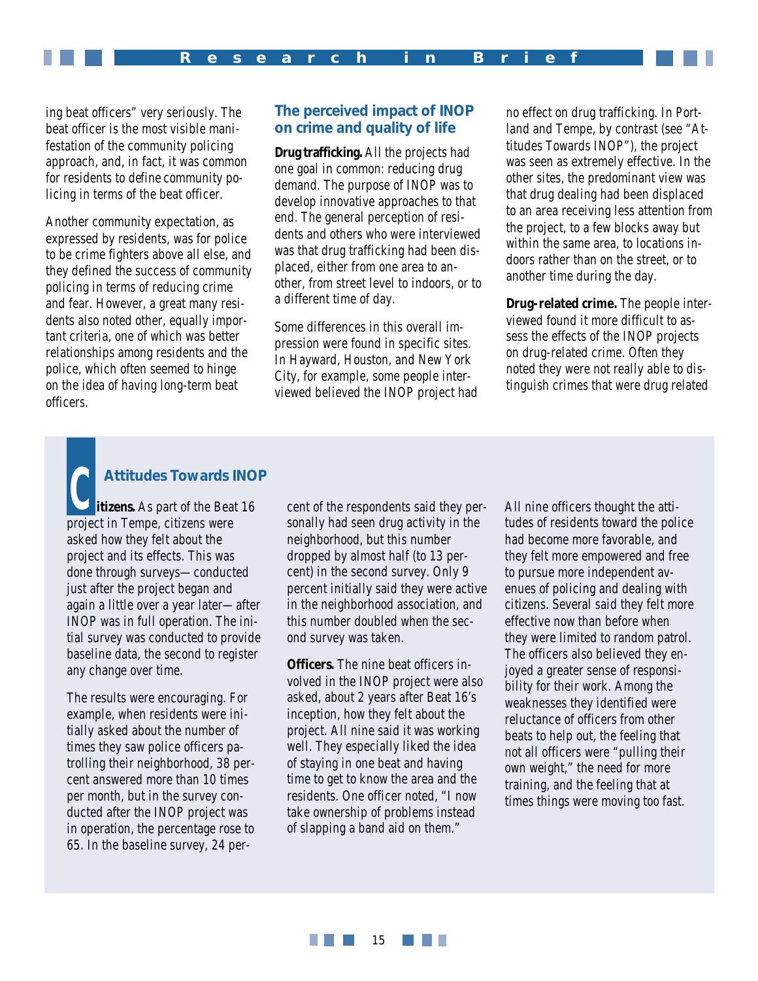ing beat officers" very seriously. The beat officer is the most visible manifestation of the community policing approach, and, in fact, it was common for residents to *define* community policing in terms of the beat officer.

Another community expectation, as expressed by residents, was for police to be crime fighters above all else, and they defined the success of community policing in terms of reducing crime and fear. However, a great many residents also noted other, equally important criteria, one of which was better relationships among residents and the police, which often seemed to hinge on the idea of having long-term beat officers.

# **The perceived impact of INOP on crime and quality of life**

**Drug trafficking.** All the projects had one goal in common: reducing drug demand. The purpose of INOP was to develop innovative approaches to that end. The general perception of residents and others who were interviewed was that drug trafficking had been displaced, either from one area to another, from street level to indoors, or to a different time of day.

Some differences in this overall impression were found in specific sites. In Hayward, Houston, and New York City, for example, some people interviewed believed the INOP project had no effect on drug trafficking. In Portland and Tempe, by contrast (see "Attitudes Towards INOP"), the project was seen as extremely effective. In the other sites, the predominant view was that drug dealing had been displaced to an area receiving less attention from the project, to a few blocks away but within the same area, to locations indoors rather than on the street, or to another time during the day.

**Drug-related crime.** The people interviewed found it more difficult to assess the effects of the INOP projects on drug-related crime. Often they noted they were not really able to distinguish crimes that were drug related

# Attitudes Towards INOP<br> **COPEN EXAMPLE FOR CELLA COPEN EXAMPLE TO CELLA COPEN EXAMPLE FOR THE RESPONDENT SAMPLE FOR SAMPLE THE RESPONDENT<br>
COPEN COPEN COPEN COPEN COPEN COPEN COPEN COPEN COPEN COPEN COPEN COPEN COPEN COPEN**

**itizens.** As part of the Beat 16 project in Tempe, citizens were asked how they felt about the project and its effects. This was done through surveys—conducted just after the project began and again a little over a year later—after INOP was in full operation. The initial survey was conducted to provide baseline data, the second to register any change over time.

The results were encouraging. For example, when residents were initially asked about the number of times they saw police officers patrolling their neighborhood, 38 percent answered more than 10 times per month, but in the survey conducted after the INOP project was in operation, the percentage rose to 65. In the baseline survey, 24 personally had seen drug activity in the neighborhood, but this number dropped by almost half (to 13 percent) in the second survey. Only 9 percent initially said they were active in the neighborhood association, and this number doubled when the second survey was taken.

**Officers.** The nine beat officers involved in the INOP project were also asked, about 2 years after Beat 16's inception, how they felt about the project. All nine said it was working well. They especially liked the idea of staying in one beat and having time to get to know the area and the residents. One officer noted, "I now take ownership of problems instead of slapping a band aid on them."

All nine officers thought the attitudes of residents toward the police had become more favorable, and they felt more empowered and free to pursue more independent avenues of policing and dealing with citizens. Several said they felt more effective now than before when they were limited to random patrol. The officers also believed they enjoyed a greater sense of responsibility for their work. Among the weaknesses they identified were reluctance of officers from other beats to help out, the feeling that not all officers were "pulling their own weight," the need for more training, and the feeling that at times things were moving too fast.

#### **THE REAL** 15 **The Common**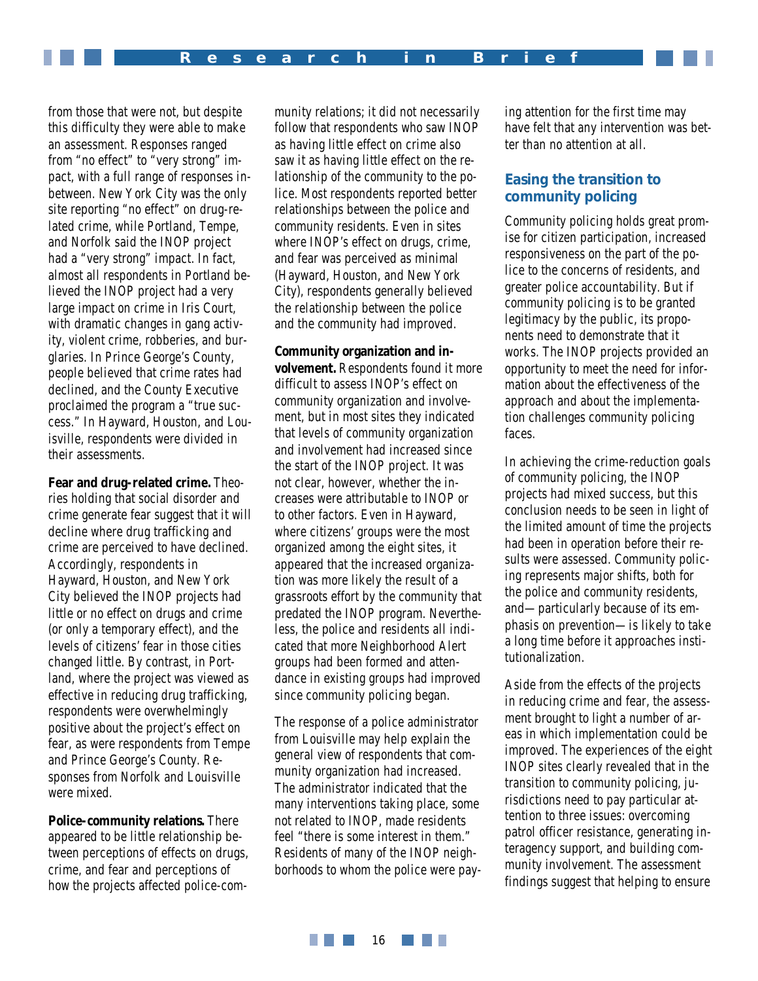from those that were not, but despite this difficulty they were able to make an assessment. Responses ranged from "no effect" to "very strong" impact, with a full range of responses inbetween. New York City was the only site reporting "no effect" on drug-related crime, while Portland, Tempe, and Norfolk said the INOP project had a "very strong" impact. In fact, almost all respondents in Portland believed the INOP project had a very large impact on crime in Iris Court, with dramatic changes in gang activity, violent crime, robberies, and burglaries. In Prince George's County, people believed that crime rates had declined, and the County Executive proclaimed the program a "true success." In Hayward, Houston, and Louisville, respondents were divided in their assessments.

**Fear and drug-related crime.** Theories holding that social disorder and crime generate fear suggest that it will decline where drug trafficking and crime are perceived to have declined. Accordingly, respondents in Hayward, Houston, and New York City believed the INOP projects had little or no effect on drugs and crime (or only a temporary effect), and the levels of citizens' fear in those cities changed little. By contrast, in Portland, where the project was viewed as effective in reducing drug trafficking, respondents were overwhelmingly positive about the project's effect on fear, as were respondents from Tempe and Prince George's County. Responses from Norfolk and Louisville were mixed.

**Police-community relations.** There appeared to be little relationship between perceptions of effects on drugs, crime, and fear and perceptions of how the projects affected police-com-

munity relations; it did not necessarily follow that respondents who saw INOP as having little effect on crime also saw it as having little effect on the relationship of the community to the police. Most respondents reported better relationships between the police and community residents. Even in sites where INOP's effect on drugs, crime, and fear was perceived as minimal (Hayward, Houston, and New York City), respondents generally believed the relationship between the police and the community had improved.

**Community organization and involvement.** Respondents found it more difficult to assess INOP's effect on community organization and involvement, but in most sites they indicated that levels of community organization and involvement had increased since the start of the INOP project. It was not clear, however, whether the increases were attributable to INOP or to other factors. Even in Hayward, where citizens' groups were the most organized among the eight sites, it appeared that the increased organization was more likely the result of a grassroots effort by the community that predated the INOP program. Nevertheless, the police and residents all indicated that more Neighborhood Alert groups had been formed and attendance in existing groups had improved since community policing began.

The response of a police administrator from Louisville may help explain the general view of respondents that community organization had increased. The administrator indicated that the many interventions taking place, some not related to INOP, made residents feel "there is some interest in them." Residents of many of the INOP neighborhoods to whom the police were paying attention for the first time may have felt that any intervention was better than no attention at all.

# **Easing the transition to community policing**

Community policing holds great promise for citizen participation, increased responsiveness on the part of the police to the concerns of residents, and greater police accountability. But if community policing is to be granted legitimacy by the public, its proponents need to demonstrate that it works. The INOP projects provided an opportunity to meet the need for information about the effectiveness of the approach and about the implementation challenges community policing faces.

In achieving the crime-reduction goals of community policing, the INOP projects had mixed success, but this conclusion needs to be seen in light of the limited amount of time the projects had been in operation before their results were assessed. Community policing represents major shifts, both for the police and community residents, and—particularly because of its emphasis on prevention—is likely to take a long time before it approaches institutionalization.

Aside from the effects of the projects in reducing crime and fear, the assessment brought to light a number of areas in which implementation could be improved. The experiences of the eight INOP sites clearly revealed that in the transition to community policing, jurisdictions need to pay particular attention to three issues: overcoming patrol officer resistance, generating interagency support, and building community involvement. The assessment findings suggest that helping to ensure

**THE REAL** 16 **The Contract of the Contract of the Contract of the Contract of the Contract of the Contract of the Contract o**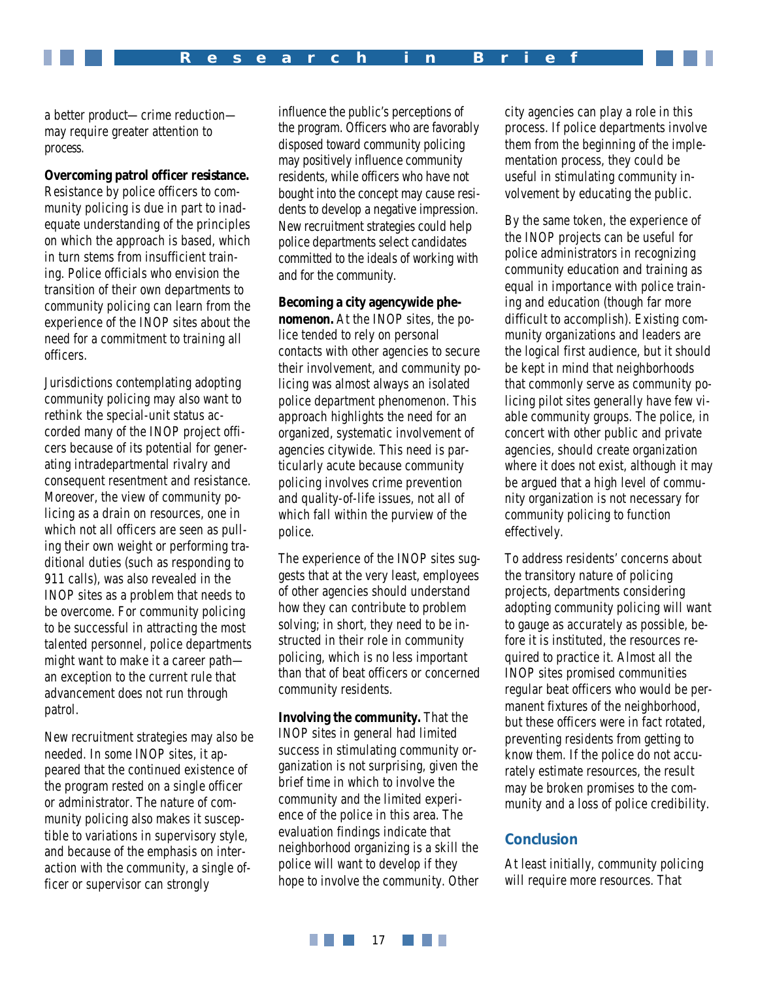a better *product*—crime reduction may require greater attention to *process*.

#### **Overcoming patrol officer resistance.**

Resistance by police officers to community policing is due in part to inadequate understanding of the principles on which the approach is based, which in turn stems from insufficient training. Police officials who envision the transition of their own departments to community policing can learn from the experience of the INOP sites about the need for a commitment to training all officers.

Jurisdictions contemplating adopting community policing may also want to rethink the special-unit status accorded many of the INOP project officers because of its potential for generating intradepartmental rivalry and consequent resentment and resistance. Moreover, the view of community policing as a drain on resources, one in which not all officers are seen as pulling their own weight or performing traditional duties (such as responding to 911 calls), was also revealed in the INOP sites as a problem that needs to be overcome. For community policing to be successful in attracting the most talented personnel, police departments might want to make it a career path an exception to the current rule that advancement does not run through patrol.

New recruitment strategies may also be needed. In some INOP sites, it appeared that the continued existence of the program rested on a single officer or administrator. The nature of community policing also makes it susceptible to variations in supervisory style, and because of the emphasis on interaction with the community, a single officer or supervisor can strongly

influence the public's perceptions of the program. Officers who are favorably disposed toward community policing may positively influence community residents, while officers who have not bought into the concept may cause residents to develop a negative impression. New recruitment strategies could help police departments select candidates committed to the ideals of working with and for the community.

**Becoming a city agencywide phenomenon.** At the INOP sites, the police tended to rely on personal contacts with other agencies to secure their involvement, and community policing was almost always an isolated police department phenomenon. This approach highlights the need for an organized, systematic involvement of agencies citywide. This need is particularly acute because community policing involves crime prevention and quality-of-life issues, not all of which fall within the purview of the police.

The experience of the INOP sites suggests that at the very least, employees of other agencies should understand how they can contribute to problem solving; in short, they need to be instructed in their role in community policing, which is no less important than that of beat officers or concerned community residents.

**Involving the community.** That the INOP sites in general had limited success in stimulating community organization is not surprising, given the brief time in which to involve the community and the limited experience of the police in this area. The evaluation findings indicate that neighborhood organizing is a skill the police will want to develop if they hope to involve the community. Other city agencies can play a role in this process. If police departments involve them from the beginning of the implementation process, they could be useful in stimulating community involvement by educating the public.

By the same token, the experience of the INOP projects can be useful for police administrators in recognizing community education and training as equal in importance with police training and education (though far more difficult to accomplish). Existing community organizations and leaders are the logical first audience, but it should be kept in mind that neighborhoods that commonly serve as community policing pilot sites generally have few viable community groups. The police, in concert with other public and private agencies, should create organization where it does not exist, although it may be argued that a high level of community organization is *not* necessary for community policing to function effectively.

To address residents' concerns about the transitory nature of policing projects, departments considering adopting community policing will want to gauge as accurately as possible, before it is instituted, the resources required to practice it. Almost all the INOP sites promised communities regular beat officers who would be permanent fixtures of the neighborhood, but these officers were in fact rotated, preventing residents from getting to know them. If the police do not accurately estimate resources, the result may be broken promises to the community and a loss of police credibility.

#### **Conclusion**

At least initially, community policing will require more resources. That

**THE REAL** a da kasa 17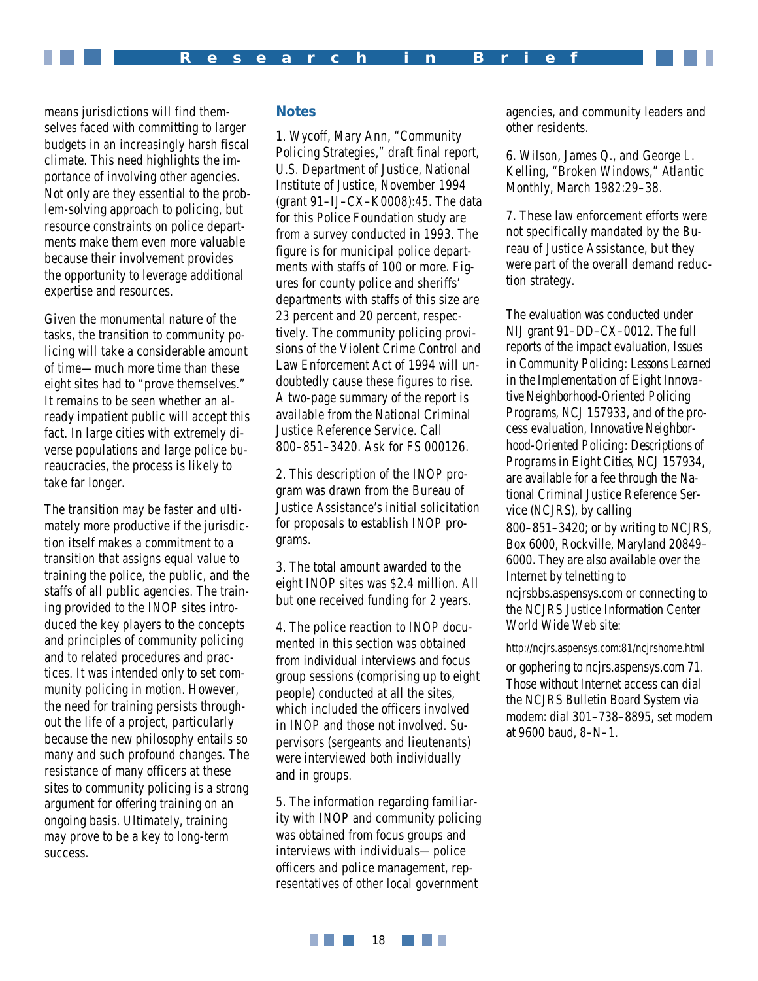means jurisdictions will find themselves faced with committing to larger budgets in an increasingly harsh fiscal climate. This need highlights the importance of involving other agencies. Not only are they essential to the problem-solving approach to policing, but resource constraints on police departments make them even more valuable because their involvement provides the opportunity to leverage additional expertise and resources.

Given the monumental nature of the tasks, the transition to community policing will take a considerable amount of time—much more time than these eight sites had to "prove themselves." It remains to be seen whether an already impatient public will accept this fact. In large cities with extremely diverse populations and large police bureaucracies, the process is likely to take far longer.

The transition may be faster and ultimately more productive if the jurisdiction itself makes a commitment to a transition that assigns equal value to training the police, the public, and the staffs of all public agencies. The training provided to the INOP sites introduced the key players to the concepts and principles of community policing and to related procedures and practices. It was intended *only* to set community policing in motion. However, the need for training persists throughout the life of a project, particularly because the new philosophy entails so many and such profound changes. The resistance of many officers at these sites to community policing is a strong argument for offering training on an ongoing basis. Ultimately, training may prove to be a key to long-term success.

# **Notes**

1. Wycoff, Mary Ann, "Community Policing Strategies," draft final report, U.S. Department of Justice, National Institute of Justice, November 1994 (grant 91–IJ–CX–K0008):45. The data for this Police Foundation study are from a survey conducted in 1993. The figure is for municipal police departments with staffs of 100 or more. Figures for county police and sheriffs' departments with staffs of this size are 23 percent and 20 percent, respectively. The community policing provisions of the Violent Crime Control and Law Enforcement Act of 1994 will undoubtedly cause these figures to rise. A two-page summary of the report is available from the National Criminal Justice Reference Service. Call 800–851–3420. Ask for FS 000126.

2. This description of the INOP program was drawn from the Bureau of Justice Assistance's initial solicitation for proposals to establish INOP programs.

3. The total amount awarded to the eight INOP sites was \$2.4 million. All but one received funding for 2 years.

4. The police reaction to INOP documented in this section was obtained from individual interviews and focus group sessions (comprising up to eight people) conducted at all the sites, which included the officers involved in INOP and those not involved. Supervisors (sergeants and lieutenants) were interviewed both individually and in groups.

5. The information regarding familiarity with INOP and community policing was obtained from focus groups and interviews with individuals—police officers and police management, representatives of other local government

agencies, and community leaders and other residents.

6. Wilson, James Q., and George L. Kelling, "Broken Windows," *Atlantic Monthly*, March 1982:29–38.

7. These law enforcement efforts were not specifically mandated by the Bureau of Justice Assistance, but they were part of the overall demand reduction strategy.

The evaluation was conducted under NIJ grant 91–DD–CX–0012. The full reports of the impact evaluation, *Issues in Community Policing: Lessons Learned in the Implementation of Eight Innovative Neighborhood-Oriented Policing Programs*, NCJ 157933, and of the process evaluation, *Innovative Neighborhood-Oriented Policing: Descriptions of Programs in Eight Cities*, NCJ 157934, are available for a fee through the National Criminal Justice Reference Service (NCJRS), by calling 800–851–3420; or by writing to NCJRS, Box 6000, Rockville, Maryland 20849– 6000. They are also available over the Internet by telnetting to ncjrsbbs.aspensys.com or connecting to the NCJRS Justice Information Center World Wide Web site:

http://ncjrs.aspensys.com:81/ncjrshome.html

or gophering to ncjrs.aspensys.com 71. Those without Internet access can dial the NCJRS Bulletin Board System via modem: dial 301–738–8895, set modem at 9600 baud, 8–N–1.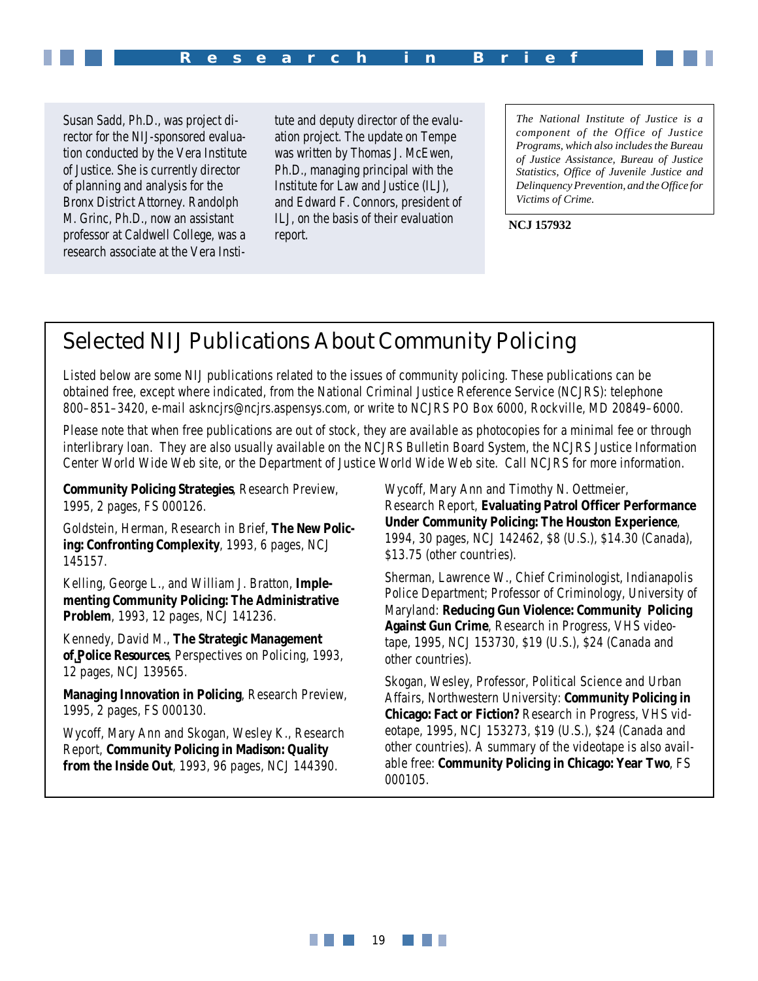

Susan Sadd, Ph.D., was project director for the NIJ-sponsored evaluation conducted by the Vera Institute of Justice. She is currently director of planning and analysis for the Bronx District Attorney. Randolph M. Grinc, Ph.D., now an assistant professor at Caldwell College, was a research associate at the Vera Insti-

tute and deputy director of the evaluation project. The update on Tempe was written by Thomas J. McEwen, Ph.D., managing principal with the Institute for Law and Justice (ILJ), and Edward F. Connors, president of ILJ, on the basis of their evaluation report.

*The National Institute of Justice is a component of the Office of Justice Programs, which also includes the Bureau of Justice Assistance, Bureau of Justice Statistics, Office of Juvenile Justice and Delinquency Prevention, and the Office for Victims of Crime.*

**NCJ 157932**

# Selected NIJ Publications About Community Policing

Listed below are some NIJ publications related to the issues of community policing. These publications can be obtained free, except where indicated, from the National Criminal Justice Reference Service (NCJRS): telephone 800–851–3420, e-mail askncjrs@ncjrs.aspensys.com, or write to NCJRS PO Box 6000, Rockville, MD 20849–6000.

Please note that when free publications are out of stock, they are available as photocopies for a minimal fee or through interlibrary loan. They are also usually available on the NCJRS Bulletin Board System, the NCJRS Justice Information Center World Wide Web site, or the Department of Justice World Wide Web site. Call NCJRS for more information.

**Community Policing Strategies**, Research Preview, 1995, 2 pages, FS 000126.

Goldstein, Herman, Research in Brief, **The New Policing: Confronting Complexity**, 1993, 6 pages, NCJ 145157.

Kelling, George L., and William J. Bratton, **Implementing Community Policing: The Administrative Problem**, 1993, 12 pages, NCJ 141236.

Kennedy, David M., **The Strategic Management of␣Police Resources**, Perspectives on Policing, 1993, 12 pages, NCJ 139565.

**Managing Innovation in Policing**, Research Preview, 1995, 2 pages, FS 000130.

Wycoff, Mary Ann and Skogan, Wesley K., Research Report, **Community Policing in Madison: Quality from the Inside Out**, 1993, 96 pages, NCJ 144390.

Wycoff, Mary Ann and Timothy N. Oettmeier, Research Report, **Evaluating Patrol Officer Performance Under Community Policing: The Houston Experience**, 1994, 30 pages, NCJ 142462, \$8 (U.S.), \$14.30 (Canada), \$13.75 (other countries).

Sherman, Lawrence W., Chief Criminologist, Indianapolis Police Department; Professor of Criminology, University of Maryland: **Reducing Gun Violence: Community Policing Against Gun Crime**, Research in Progress, VHS videotape, 1995, NCJ 153730, \$19 (U.S.), \$24 (Canada and other countries).

Skogan, Wesley, Professor, Political Science and Urban Affairs, Northwestern University: **Community Policing in Chicago: Fact or Fiction?** Research in Progress, VHS videotape, 1995, NCJ 153273, \$19 (U.S.), \$24 (Canada and other countries). A summary of the videotape is also available free: **Community Policing in Chicago: Year Two**, FS 000105.